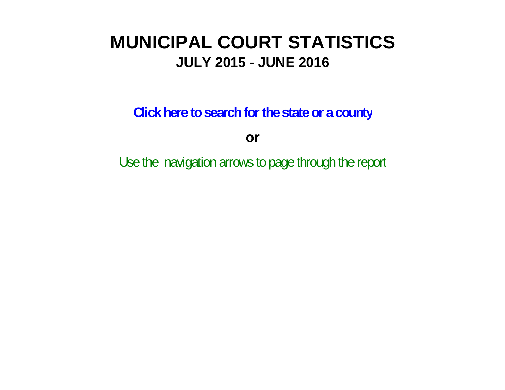# **MUNICIPAL COURT STATISTICSJULY 2015 - JUNE 2016**

**Click here to search for the state or a county**

**or**

Use the navigation arrows to page through the report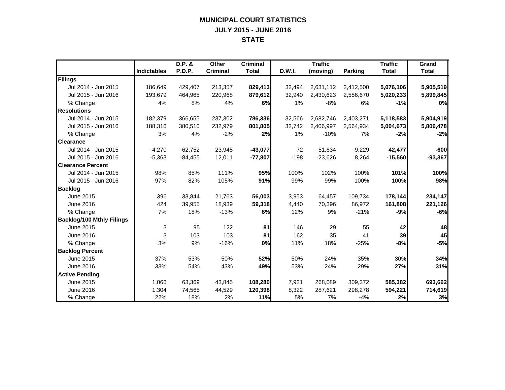#### **MUNICIPAL COURT STATISTICS JULY 2015 - JUNE 2016 STATE**

|                                  |                    | D.P. &    | Other           | <b>Criminal</b> |        | <b>Traffic</b> |                | <b>Traffic</b> | Grand        |
|----------------------------------|--------------------|-----------|-----------------|-----------------|--------|----------------|----------------|----------------|--------------|
|                                  | <b>Indictables</b> | P.D.P.    | <b>Criminal</b> | <b>Total</b>    | D.W.I. | (moving)       | <b>Parking</b> | <b>Total</b>   | <b>Total</b> |
| Filings                          |                    |           |                 |                 |        |                |                |                |              |
| Jul 2014 - Jun 2015              | 186,649            | 429,407   | 213,357         | 829,413         | 32,494 | 2,631,112      | 2,412,500      | 5,076,106      | 5,905,519    |
| Jul 2015 - Jun 2016              | 193,679            | 464,965   | 220,968         | 879,612         | 32,940 | 2,430,623      | 2,556,670      | 5,020,233      | 5,899,845    |
| % Change                         | 4%                 | 8%        | 4%              | 6%              | 1%     | $-8%$          | 6%             | $-1%$          | 0%           |
| <b>Resolutions</b>               |                    |           |                 |                 |        |                |                |                |              |
| Jul 2014 - Jun 2015              | 182.379            | 366.655   | 237,302         | 786,336         | 32,566 | 2.682.746      | 2,403,271      | 5,118,583      | 5,904,919    |
| Jul 2015 - Jun 2016              | 188,316            | 380,510   | 232,979         | 801,805         | 32,742 | 2,406,997      | 2,564,934      | 5,004,673      | 5,806,478    |
| % Change                         | 3%                 | 4%        | $-2%$           | 2%              | 1%     | $-10%$         | 7%             | $-2%$          | $-2%$        |
| <b>Clearance</b>                 |                    |           |                 |                 |        |                |                |                |              |
| Jul 2014 - Jun 2015              | $-4,270$           | $-62,752$ | 23,945          | $-43,077$       | 72     | 51,634         | $-9,229$       | 42,477         | $-600$       |
| Jul 2015 - Jun 2016              | $-5,363$           | $-84,455$ | 12,011          | $-77,807$       | $-198$ | $-23,626$      | 8,264          | $-15,560$      | $-93,367$    |
| <b>Clearance Percent</b>         |                    |           |                 |                 |        |                |                |                |              |
| Jul 2014 - Jun 2015              | 98%                | 85%       | 111%            | 95%             | 100%   | 102%           | 100%           | 101%           | 100%         |
| Jul 2015 - Jun 2016              | 97%                | 82%       | 105%            | 91%             | 99%    | 99%            | 100%           | 100%           | 98%          |
| <b>Backlog</b>                   |                    |           |                 |                 |        |                |                |                |              |
| June 2015                        | 396                | 33,844    | 21,763          | 56,003          | 3,953  | 64,457         | 109,734        | 178,144        | 234,147      |
| June 2016                        | 424                | 39,955    | 18,939          | 59,318          | 4,440  | 70,396         | 86,972         | 161,808        | 221,126      |
| % Change                         | 7%                 | 18%       | $-13%$          | 6%              | 12%    | 9%             | $-21%$         | $-9%$          | $-6%$        |
| <b>Backlog/100 Mthly Filings</b> |                    |           |                 |                 |        |                |                |                |              |
| June 2015                        | 3                  | 95        | 122             | 81              | 146    | 29             | 55             | 42             | 48           |
| June 2016                        | 3                  | 103       | 103             | 81              | 162    | 35             | 41             | 39             | 45           |
| % Change                         | 3%                 | 9%        | $-16%$          | 0%              | 11%    | 18%            | $-25%$         | $-8%$          | $-5%$        |
| <b>Backlog Percent</b>           |                    |           |                 |                 |        |                |                |                |              |
| June 2015                        | 37%                | 53%       | 50%             | 52%             | 50%    | 24%            | 35%            | 30%            | 34%          |
| June 2016                        | 33%                | 54%       | 43%             | 49%             | 53%    | 24%            | 29%            | 27%            | 31%          |
| <b>Active Pending</b>            |                    |           |                 |                 |        |                |                |                |              |
| June 2015                        | 1,066              | 63,369    | 43,845          | 108,280         | 7,921  | 268,089        | 309,372        | 585,382        | 693,662      |
| June 2016                        | 1,304              | 74,565    | 44,529          | 120,398         | 8,322  | 287,621        | 298,278        | 594,221        | 714,619      |
| % Change                         | 22%                | 18%       | 2%              | 11%             | 5%     | 7%             | $-4%$          | 2%             | 3%           |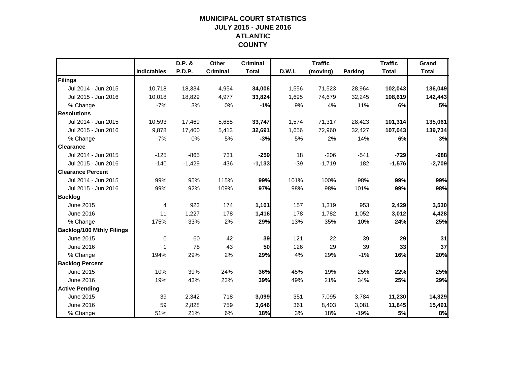## **MUNICIPAL COURT STATISTICSJULY 2015 - JUNE 2016 ATLANTIC COUNTY**

|                                  |                    | D.P. &   | <b>Other</b>    | <b>Criminal</b> |        | <b>Traffic</b> |                | <b>Traffic</b> | Grand        |
|----------------------------------|--------------------|----------|-----------------|-----------------|--------|----------------|----------------|----------------|--------------|
|                                  | <b>Indictables</b> | P.D.P.   | <b>Criminal</b> | <b>Total</b>    | D.W.I. | (moving)       | <b>Parking</b> | <b>Total</b>   | <b>Total</b> |
| Filings                          |                    |          |                 |                 |        |                |                |                |              |
| Jul 2014 - Jun 2015              | 10,718             | 18,334   | 4,954           | 34,006          | 1,556  | 71,523         | 28,964         | 102,043        | 136,049      |
| Jul 2015 - Jun 2016              | 10,018             | 18,829   | 4,977           | 33,824          | 1,695  | 74,679         | 32,245         | 108,619        | 142,443      |
| % Change                         | $-7%$              | 3%       | 0%              | $-1%$           | 9%     | 4%             | 11%            | 6%             | 5%           |
| <b>Resolutions</b>               |                    |          |                 |                 |        |                |                |                |              |
| Jul 2014 - Jun 2015              | 10,593             | 17,469   | 5,685           | 33,747          | 1,574  | 71,317         | 28,423         | 101,314        | 135,061      |
| Jul 2015 - Jun 2016              | 9,878              | 17,400   | 5,413           | 32,691          | 1,656  | 72,960         | 32,427         | 107,043        | 139,734      |
| % Change                         | $-7%$              | 0%       | $-5%$           | $-3%$           | 5%     | 2%             | 14%            | 6%             | 3%           |
| <b>Clearance</b>                 |                    |          |                 |                 |        |                |                |                |              |
| Jul 2014 - Jun 2015              | $-125$             | $-865$   | 731             | $-259$          | 18     | $-206$         | $-541$         | $-729$         | $-988$       |
| Jul 2015 - Jun 2016              | $-140$             | $-1,429$ | 436             | $-1,133$        | $-39$  | $-1,719$       | 182            | $-1,576$       | $-2,709$     |
| <b>Clearance Percent</b>         |                    |          |                 |                 |        |                |                |                |              |
| Jul 2014 - Jun 2015              | 99%                | 95%      | 115%            | 99%             | 101%   | 100%           | 98%            | 99%            | 99%          |
| Jul 2015 - Jun 2016              | 99%                | 92%      | 109%            | 97%             | 98%    | 98%            | 101%           | 99%            | 98%          |
| <b>Backlog</b>                   |                    |          |                 |                 |        |                |                |                |              |
| June 2015                        | 4                  | 923      | 174             | 1,101           | 157    | 1,319          | 953            | 2,429          | 3,530        |
| June 2016                        | 11                 | 1,227    | 178             | 1,416           | 178    | 1,782          | 1,052          | 3,012          | 4,428        |
| % Change                         | 175%               | 33%      | 2%              | 29%             | 13%    | 35%            | 10%            | 24%            | 25%          |
| <b>Backlog/100 Mthly Filings</b> |                    |          |                 |                 |        |                |                |                |              |
| June 2015                        | $\mathbf 0$        | 60       | 42              | 39              | 121    | 22             | 39             | 29             | 31           |
| June 2016                        | $\mathbf{1}$       | 78       | 43              | 50              | 126    | 29             | 39             | 33             | 37           |
| % Change                         | 194%               | 29%      | 2%              | 29%             | 4%     | 29%            | $-1%$          | 16%            | 20%          |
| <b>Backlog Percent</b>           |                    |          |                 |                 |        |                |                |                |              |
| June 2015                        | 10%                | 39%      | 24%             | 36%             | 45%    | 19%            | 25%            | 22%            | 25%          |
| June 2016                        | 19%                | 43%      | 23%             | 39%             | 49%    | 21%            | 34%            | 25%            | 29%          |
| <b>Active Pending</b>            |                    |          |                 |                 |        |                |                |                |              |
| June 2015                        | 39                 | 2,342    | 718             | 3,099           | 351    | 7,095          | 3,784          | 11,230         | 14,329       |
| June 2016                        | 59                 | 2,828    | 759             | 3,646           | 361    | 8,403          | 3,081          | 11,845         | 15,491       |
| % Change                         | 51%                | 21%      | 6%              | 18%             | 3%     | 18%            | $-19%$         | 5%             | 8%           |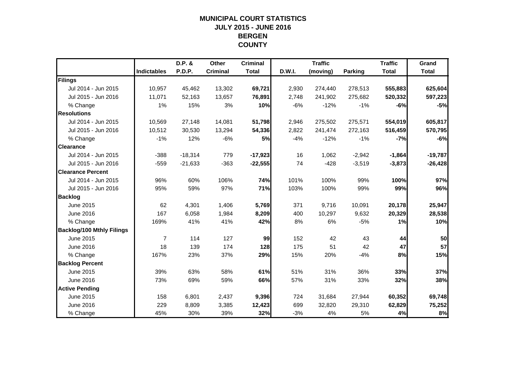## **MUNICIPAL COURT STATISTICSJULY 2015 - JUNE 2016 BERGEN COUNTY**

|                                  |                    | D.P. &        | Other           | <b>Criminal</b> |        | <b>Traffic</b> |                | <b>Traffic</b> | Grand        |
|----------------------------------|--------------------|---------------|-----------------|-----------------|--------|----------------|----------------|----------------|--------------|
|                                  | <b>Indictables</b> | <b>P.D.P.</b> | <b>Criminal</b> | <b>Total</b>    | D.W.I. | (moving)       | <b>Parking</b> | <b>Total</b>   | <b>Total</b> |
| Filings                          |                    |               |                 |                 |        |                |                |                |              |
| Jul 2014 - Jun 2015              | 10,957             | 45,462        | 13,302          | 69,721          | 2,930  | 274,440        | 278,513        | 555,883        | 625,604      |
| Jul 2015 - Jun 2016              | 11,071             | 52,163        | 13,657          | 76,891          | 2,748  | 241,902        | 275,682        | 520,332        | 597,223      |
| % Change                         | 1%                 | 15%           | 3%              | 10%             | $-6%$  | $-12%$         | $-1%$          | $-6%$          | $-5%$        |
| <b>Resolutions</b>               |                    |               |                 |                 |        |                |                |                |              |
| Jul 2014 - Jun 2015              | 10,569             | 27,148        | 14,081          | 51,798          | 2,946  | 275,502        | 275,571        | 554,019        | 605,817      |
| Jul 2015 - Jun 2016              | 10,512             | 30,530        | 13,294          | 54,336          | 2,822  | 241,474        | 272,163        | 516,459        | 570,795      |
| % Change                         | $-1%$              | 12%           | $-6%$           | 5%              | $-4%$  | $-12%$         | $-1%$          | $-7%$          | $-6%$        |
| <b>Clearance</b>                 |                    |               |                 |                 |        |                |                |                |              |
| Jul 2014 - Jun 2015              | $-388$             | $-18,314$     | 779             | $-17,923$       | 16     | 1,062          | $-2,942$       | $-1,864$       | $-19,787$    |
| Jul 2015 - Jun 2016              | $-559$             | $-21,633$     | $-363$          | $-22,555$       | 74     | $-428$         | $-3,519$       | $-3,873$       | $-26,428$    |
| <b>Clearance Percent</b>         |                    |               |                 |                 |        |                |                |                |              |
| Jul 2014 - Jun 2015              | 96%                | 60%           | 106%            | 74%             | 101%   | 100%           | 99%            | 100%           | 97%          |
| Jul 2015 - Jun 2016              | 95%                | 59%           | 97%             | 71%             | 103%   | 100%           | 99%            | 99%            | 96%          |
| <b>Backlog</b>                   |                    |               |                 |                 |        |                |                |                |              |
| June 2015                        | 62                 | 4,301         | 1,406           | 5,769           | 371    | 9,716          | 10,091         | 20,178         | 25,947       |
| June 2016                        | 167                | 6,058         | 1,984           | 8,209           | 400    | 10,297         | 9,632          | 20,329         | 28,538       |
| % Change                         | 169%               | 41%           | 41%             | 42%             | 8%     | 6%             | $-5%$          | 1%             | 10%          |
| <b>Backlog/100 Mthly Filings</b> |                    |               |                 |                 |        |                |                |                |              |
| June 2015                        | $\overline{7}$     | 114           | 127             | 99              | 152    | 42             | 43             | 44             | 50           |
| June 2016                        | 18                 | 139           | 174             | 128             | 175    | 51             | 42             | 47             | 57           |
| % Change                         | 167%               | 23%           | 37%             | 29%             | 15%    | 20%            | $-4%$          | 8%             | 15%          |
| <b>Backlog Percent</b>           |                    |               |                 |                 |        |                |                |                |              |
| June 2015                        | 39%                | 63%           | 58%             | 61%             | 51%    | 31%            | 36%            | 33%            | 37%          |
| June 2016                        | 73%                | 69%           | 59%             | 66%             | 57%    | 31%            | 33%            | 32%            | 38%          |
| <b>Active Pending</b>            |                    |               |                 |                 |        |                |                |                |              |
| June 2015                        | 158                | 6,801         | 2,437           | 9,396           | 724    | 31.684         | 27,944         | 60,352         | 69,748       |
| June 2016                        | 229                | 8,809         | 3,385           | 12,423          | 699    | 32,820         | 29,310         | 62,829         | 75,252       |
| % Change                         | 45%                | 30%           | 39%             | 32%             | $-3%$  | 4%             | 5%             | 4%             | 8%           |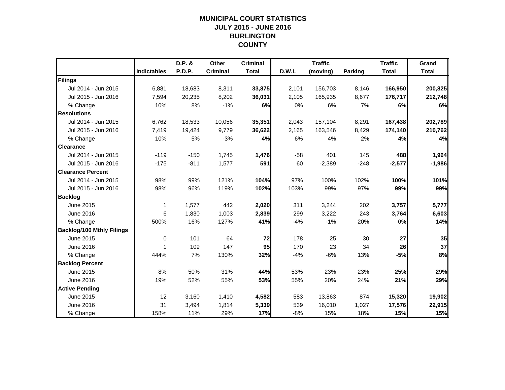## **MUNICIPAL COURT STATISTICSJULY 2015 - JUNE 2016 BURLINGTON COUNTY**

|                                  |                    | D.P. & | Other           | <b>Criminal</b> |        | <b>Traffic</b> |                | <b>Traffic</b> | Grand        |
|----------------------------------|--------------------|--------|-----------------|-----------------|--------|----------------|----------------|----------------|--------------|
|                                  | <b>Indictables</b> | P.D.P. | <b>Criminal</b> | <b>Total</b>    | D.W.I. | (moving)       | <b>Parking</b> | <b>Total</b>   | <b>Total</b> |
| Filings                          |                    |        |                 |                 |        |                |                |                |              |
| Jul 2014 - Jun 2015              | 6,881              | 18,683 | 8,311           | 33,875          | 2,101  | 156,703        | 8,146          | 166,950        | 200,825      |
| Jul 2015 - Jun 2016              | 7,594              | 20,235 | 8,202           | 36,031          | 2,105  | 165,935        | 8,677          | 176,717        | 212,748      |
| % Change                         | 10%                | 8%     | $-1%$           | 6%              | 0%     | 6%             | 7%             | 6%             | 6%           |
| <b>Resolutions</b>               |                    |        |                 |                 |        |                |                |                |              |
| Jul 2014 - Jun 2015              | 6,762              | 18,533 | 10,056          | 35,351          | 2,043  | 157,104        | 8,291          | 167,438        | 202,789      |
| Jul 2015 - Jun 2016              | 7,419              | 19,424 | 9,779           | 36,622          | 2,165  | 163,546        | 8,429          | 174,140        | 210,762      |
| % Change                         | 10%                | 5%     | $-3%$           | 4%              | 6%     | 4%             | 2%             | 4%             | 4%           |
| <b>Clearance</b>                 |                    |        |                 |                 |        |                |                |                |              |
| Jul 2014 - Jun 2015              | $-119$             | $-150$ | 1,745           | 1,476           | $-58$  | 401            | 145            | 488            | 1,964        |
| Jul 2015 - Jun 2016              | $-175$             | $-811$ | 1,577           | 591             | 60     | $-2,389$       | $-248$         | $-2,577$       | $-1,986$     |
| <b>Clearance Percent</b>         |                    |        |                 |                 |        |                |                |                |              |
| Jul 2014 - Jun 2015              | 98%                | 99%    | 121%            | 104%            | 97%    | 100%           | 102%           | 100%           | 101%         |
| Jul 2015 - Jun 2016              | 98%                | 96%    | 119%            | 102%            | 103%   | 99%            | 97%            | 99%            | 99%          |
| <b>Backlog</b>                   |                    |        |                 |                 |        |                |                |                |              |
| June 2015                        | 1                  | 1,577  | 442             | 2,020           | 311    | 3,244          | 202            | 3,757          | 5,777        |
| June 2016                        | 6                  | 1,830  | 1,003           | 2,839           | 299    | 3,222          | 243            | 3,764          | 6,603        |
| % Change                         | 500%               | 16%    | 127%            | 41%             | $-4%$  | $-1%$          | 20%            | 0%             | 14%          |
| <b>Backlog/100 Mthly Filings</b> |                    |        |                 |                 |        |                |                |                |              |
| June 2015                        | 0                  | 101    | 64              | 72              | 178    | 25             | 30             | 27             | 35           |
| June 2016                        | 1                  | 109    | 147             | 95              | 170    | 23             | 34             | 26             | 37           |
| % Change                         | 444%               | 7%     | 130%            | 32%             | $-4%$  | $-6%$          | 13%            | $-5%$          | 8%           |
| <b>Backlog Percent</b>           |                    |        |                 |                 |        |                |                |                |              |
| June 2015                        | 8%                 | 50%    | 31%             | 44%             | 53%    | 23%            | 23%            | 25%            | 29%          |
| June 2016                        | 19%                | 52%    | 55%             | 53%             | 55%    | 20%            | 24%            | 21%            | 29%          |
| <b>Active Pending</b>            |                    |        |                 |                 |        |                |                |                |              |
| June 2015                        | 12                 | 3,160  | 1,410           | 4,582           | 583    | 13,863         | 874            | 15,320         | 19,902       |
| June 2016                        | 31                 | 3,494  | 1,814           | 5,339           | 539    | 16,010         | 1,027          | 17,576         | 22,915       |
| % Change                         | 158%               | 11%    | 29%             | 17%             | $-8%$  | 15%            | 18%            | 15%            | 15%          |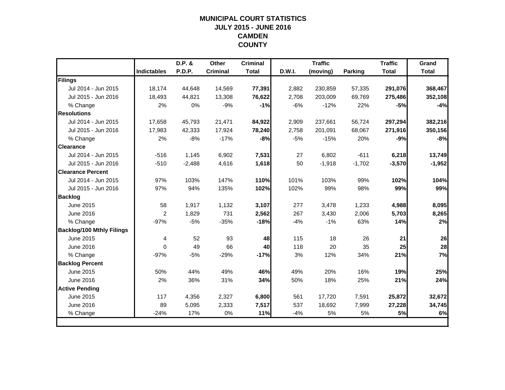## **MUNICIPAL COURT STATISTICSJULY 2015 - JUNE 2016 CAMDEN COUNTY**

|                                  |                    | D.P. &   | <b>Other</b>    | <b>Criminal</b> |        | <b>Traffic</b> |          | <b>Traffic</b> | Grand        |
|----------------------------------|--------------------|----------|-----------------|-----------------|--------|----------------|----------|----------------|--------------|
|                                  | <b>Indictables</b> | P.D.P.   | <b>Criminal</b> | <b>Total</b>    | D.W.I. | (moving)       | Parking  | <b>Total</b>   | <b>Total</b> |
| Filings                          |                    |          |                 |                 |        |                |          |                |              |
| Jul 2014 - Jun 2015              | 18.174             | 44,648   | 14,569          | 77,391          | 2,882  | 230,859        | 57,335   | 291,076        | 368,467      |
| Jul 2015 - Jun 2016              | 18,493             | 44,821   | 13,308          | 76,622          | 2,708  | 203,009        | 69,769   | 275,486        | 352,108      |
| % Change                         | 2%                 | 0%       | $-9%$           | $-1%$           | $-6%$  | $-12%$         | 22%      | $-5%$          | $-4%$        |
| <b>Resolutions</b>               |                    |          |                 |                 |        |                |          |                |              |
| Jul 2014 - Jun 2015              | 17,658             | 45,793   | 21,471          | 84,922          | 2,909  | 237,661        | 56,724   | 297,294        | 382,216      |
| Jul 2015 - Jun 2016              | 17,983             | 42,333   | 17,924          | 78,240          | 2,758  | 201,091        | 68,067   | 271,916        | 350,156      |
| % Change                         | 2%                 | $-8%$    | $-17%$          | $-8%$           | $-5%$  | $-15%$         | 20%      | $-9%$          | $-8%$        |
| <b>Clearance</b>                 |                    |          |                 |                 |        |                |          |                |              |
| Jul 2014 - Jun 2015              | $-516$             | 1,145    | 6,902           | 7,531           | 27     | 6,802          | $-611$   | 6,218          | 13,749       |
| Jul 2015 - Jun 2016              | $-510$             | $-2,488$ | 4,616           | 1,618           | 50     | $-1,918$       | $-1,702$ | $-3,570$       | $-1,952$     |
| <b>IClearance Percent</b>        |                    |          |                 |                 |        |                |          |                |              |
| Jul 2014 - Jun 2015              | 97%                | 103%     | 147%            | 110%            | 101%   | 103%           | 99%      | 102%           | 104%         |
| Jul 2015 - Jun 2016              | 97%                | 94%      | 135%            | 102%            | 102%   | 99%            | 98%      | 99%            | 99%          |
| <b>Backlog</b>                   |                    |          |                 |                 |        |                |          |                |              |
| June 2015                        | 58                 | 1,917    | 1,132           | 3,107           | 277    | 3,478          | 1,233    | 4,988          | 8,095        |
| June 2016                        | $\overline{2}$     | 1,829    | 731             | 2,562           | 267    | 3,430          | 2,006    | 5,703          | 8,265        |
| % Change                         | $-97%$             | $-5%$    | $-35%$          | $-18%$          | $-4%$  | $-1%$          | 63%      | 14%            | 2%           |
| <b>Backlog/100 Mthly Filings</b> |                    |          |                 |                 |        |                |          |                |              |
| June 2015                        | 4                  | 52       | 93              | 48              | 115    | 18             | 26       | 21             | 26           |
| June 2016                        | $\Omega$           | 49       | 66              | 40              | 118    | 20             | 35       | 25             | 28           |
| % Change                         | $-97%$             | $-5%$    | $-29%$          | $-17%$          | 3%     | 12%            | 34%      | 21%            | 7%           |
| <b>Backlog Percent</b>           |                    |          |                 |                 |        |                |          |                |              |
| June 2015                        | 50%                | 44%      | 49%             | 46%             | 49%    | 20%            | 16%      | 19%            | 25%          |
| June 2016                        | 2%                 | 36%      | 31%             | 34%             | 50%    | 18%            | 25%      | 21%            | 24%          |
| <b>Active Pending</b>            |                    |          |                 |                 |        |                |          |                |              |
| June 2015                        | 117                | 4,356    | 2,327           | 6,800           | 561    | 17,720         | 7,591    | 25,872         | 32,672       |
| June 2016                        | 89                 | 5,095    | 2,333           | 7,517           | 537    | 18,692         | 7,999    | 27,228         | 34,745       |
| % Change                         | $-24%$             | 17%      | 0%              | 11%             | $-4%$  | 5%             | 5%       | 5%             | 6%           |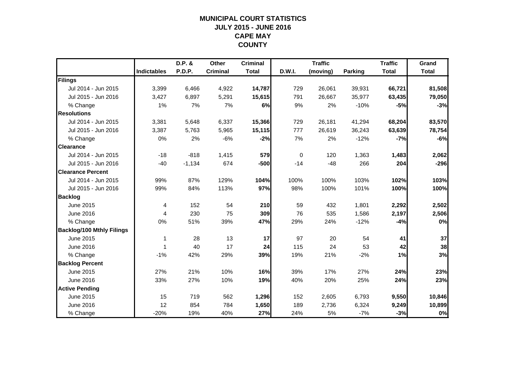## **MUNICIPAL COURT STATISTICSJULY 2015 - JUNE 2016 CAPE MAY COUNTY**

|                                  |                    | D.P. &   | Other           | <b>Criminal</b> |        | <b>Traffic</b> |                | <b>Traffic</b> | Grand        |
|----------------------------------|--------------------|----------|-----------------|-----------------|--------|----------------|----------------|----------------|--------------|
|                                  | <b>Indictables</b> | P.D.P.   | <b>Criminal</b> | <b>Total</b>    | D.W.I. | (moving)       | <b>Parking</b> | <b>Total</b>   | <b>Total</b> |
| Filings                          |                    |          |                 |                 |        |                |                |                |              |
| Jul 2014 - Jun 2015              | 3,399              | 6,466    | 4,922           | 14,787          | 729    | 26,061         | 39,931         | 66,721         | 81,508       |
| Jul 2015 - Jun 2016              | 3,427              | 6,897    | 5,291           | 15,615          | 791    | 26,667         | 35,977         | 63,435         | 79,050       |
| % Change                         | 1%                 | 7%       | 7%              | 6%              | 9%     | 2%             | $-10%$         | $-5%$          | $-3%$        |
| <b>Resolutions</b>               |                    |          |                 |                 |        |                |                |                |              |
| Jul 2014 - Jun 2015              | 3,381              | 5,648    | 6,337           | 15,366          | 729    | 26,181         | 41,294         | 68,204         | 83,570       |
| Jul 2015 - Jun 2016              | 3,387              | 5,763    | 5,965           | 15,115          | 777    | 26,619         | 36,243         | 63,639         | 78,754       |
| % Change                         | 0%                 | 2%       | $-6%$           | $-2%$           | 7%     | 2%             | $-12%$         | $-7%$          | $-6%$        |
| <b>Clearance</b>                 |                    |          |                 |                 |        |                |                |                |              |
| Jul 2014 - Jun 2015              | $-18$              | $-818$   | 1,415           | 579             | 0      | 120            | 1,363          | 1,483          | 2,062        |
| Jul 2015 - Jun 2016              | $-40$              | $-1,134$ | 674             | $-500$          | $-14$  | $-48$          | 266            | 204            | $-296$       |
| <b>Clearance Percent</b>         |                    |          |                 |                 |        |                |                |                |              |
| Jul 2014 - Jun 2015              | 99%                | 87%      | 129%            | 104%            | 100%   | 100%           | 103%           | 102%           | 103%         |
| Jul 2015 - Jun 2016              | 99%                | 84%      | 113%            | 97%             | 98%    | 100%           | 101%           | 100%           | 100%         |
| <b>Backlog</b>                   |                    |          |                 |                 |        |                |                |                |              |
| June 2015                        | 4                  | 152      | 54              | 210             | 59     | 432            | 1,801          | 2,292          | 2,502        |
| June 2016                        | 4                  | 230      | 75              | 309             | 76     | 535            | 1,586          | 2,197          | 2,506        |
| % Change                         | 0%                 | 51%      | 39%             | 47%             | 29%    | 24%            | $-12%$         | $-4%$          | 0%           |
| <b>Backlog/100 Mthly Filings</b> |                    |          |                 |                 |        |                |                |                |              |
| June 2015                        | 1                  | 28       | 13              | 17              | 97     | 20             | 54             | 41             | 37           |
| June 2016                        | 1                  | 40       | 17              | 24              | 115    | 24             | 53             | 42             | 38           |
| % Change                         | $-1%$              | 42%      | 29%             | 39%             | 19%    | 21%            | $-2%$          | 1%             | 3%           |
| <b>Backlog Percent</b>           |                    |          |                 |                 |        |                |                |                |              |
| June 2015                        | 27%                | 21%      | 10%             | 16%             | 39%    | 17%            | 27%            | 24%            | 23%          |
| June 2016                        | 33%                | 27%      | 10%             | 19%             | 40%    | 20%            | 25%            | 24%            | 23%          |
| <b>Active Pending</b>            |                    |          |                 |                 |        |                |                |                |              |
| June 2015                        | 15                 | 719      | 562             | 1,296           | 152    | 2,605          | 6,793          | 9,550          | 10,846       |
| June 2016                        | 12                 | 854      | 784             | 1,650           | 189    | 2,736          | 6,324          | 9,249          | 10,899       |
| % Change                         | $-20%$             | 19%      | 40%             | 27%             | 24%    | 5%             | $-7%$          | $-3%$          | 0%           |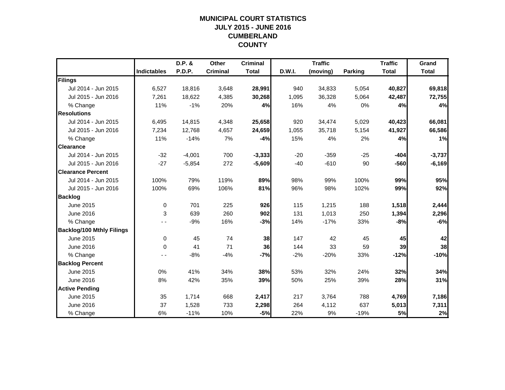## **MUNICIPAL COURT STATISTICSJULY 2015 - JUNE 2016 CUMBERLAND COUNTY**

|                                  |                    | D.P. &   | Other           | <b>Criminal</b> |        | <b>Traffic</b> |         | <b>Traffic</b> | Grand        |
|----------------------------------|--------------------|----------|-----------------|-----------------|--------|----------------|---------|----------------|--------------|
|                                  | <b>Indictables</b> | P.D.P.   | <b>Criminal</b> | <b>Total</b>    | D.W.I. | (moving)       | Parking | <b>Total</b>   | <b>Total</b> |
| Filings                          |                    |          |                 |                 |        |                |         |                |              |
| Jul 2014 - Jun 2015              | 6,527              | 18,816   | 3,648           | 28,991          | 940    | 34,833         | 5,054   | 40,827         | 69,818       |
| Jul 2015 - Jun 2016              | 7,261              | 18,622   | 4,385           | 30,268          | 1,095  | 36,328         | 5,064   | 42,487         | 72,755       |
| % Change                         | 11%                | $-1%$    | 20%             | 4%              | 16%    | 4%             | 0%      | 4%             | 4%           |
| <b>Resolutions</b>               |                    |          |                 |                 |        |                |         |                |              |
| Jul 2014 - Jun 2015              | 6,495              | 14,815   | 4,348           | 25,658          | 920    | 34,474         | 5,029   | 40,423         | 66,081       |
| Jul 2015 - Jun 2016              | 7,234              | 12,768   | 4,657           | 24,659          | 1,055  | 35,718         | 5,154   | 41,927         | 66,586       |
| % Change                         | 11%                | $-14%$   | 7%              | $-4%$           | 15%    | 4%             | 2%      | 4%             | 1%           |
| <b>Clearance</b>                 |                    |          |                 |                 |        |                |         |                |              |
| Jul 2014 - Jun 2015              | $-32$              | $-4,001$ | 700             | $-3,333$        | $-20$  | $-359$         | $-25$   | $-404$         | $-3,737$     |
| Jul 2015 - Jun 2016              | $-27$              | $-5,854$ | 272             | $-5,609$        | $-40$  | $-610$         | 90      | $-560$         | $-6,169$     |
| <b>Clearance Percent</b>         |                    |          |                 |                 |        |                |         |                |              |
| Jul 2014 - Jun 2015              | 100%               | 79%      | 119%            | 89%             | 98%    | 99%            | 100%    | 99%            | 95%          |
| Jul 2015 - Jun 2016              | 100%               | 69%      | 106%            | 81%             | 96%    | 98%            | 102%    | 99%            | 92%          |
| <b>Backlog</b>                   |                    |          |                 |                 |        |                |         |                |              |
| June 2015                        | $\mathbf 0$        | 701      | 225             | 926             | 115    | 1,215          | 188     | 1,518          | 2,444        |
| June 2016                        | 3                  | 639      | 260             | 902             | 131    | 1,013          | 250     | 1,394          | 2,296        |
| % Change                         |                    | $-9%$    | 16%             | $-3%$           | 14%    | $-17%$         | 33%     | $-8%$          | $-6%$        |
| <b>Backlog/100 Mthly Filings</b> |                    |          |                 |                 |        |                |         |                |              |
| June 2015                        | 0                  | 45       | 74              | 38              | 147    | 42             | 45      | 45             | 42           |
| June 2016                        | $\Omega$           | 41       | 71              | 36              | 144    | 33             | 59      | 39             | 38           |
| % Change                         |                    | $-8%$    | $-4%$           | $-7%$           | $-2%$  | $-20%$         | 33%     | $-12%$         | $-10%$       |
| <b>Backlog Percent</b>           |                    |          |                 |                 |        |                |         |                |              |
| June 2015                        | 0%                 | 41%      | 34%             | 38%             | 53%    | 32%            | 24%     | 32%            | 34%          |
| June 2016                        | 8%                 | 42%      | 35%             | 39%             | 50%    | 25%            | 39%     | 28%            | 31%          |
| <b>Active Pending</b>            |                    |          |                 |                 |        |                |         |                |              |
| June 2015                        | 35                 | 1,714    | 668             | 2,417           | 217    | 3,764          | 788     | 4,769          | 7,186        |
| June 2016                        | 37                 | 1,528    | 733             | 2,298           | 264    | 4,112          | 637     | 5,013          | 7,311        |
| % Change                         | 6%                 | $-11%$   | 10%             | $-5%$           | 22%    | 9%             | $-19%$  | 5%             | 2%           |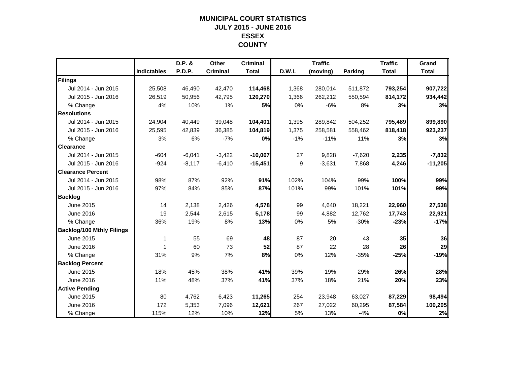#### **MUNICIPAL COURT STATISTICSJULY 2015 - JUNE 2016 ESSEX COUNTY**

|                                  |                    | D.P. &        | Other           | <b>Criminal</b> |        | <b>Traffic</b> |                | <b>Traffic</b> | Grand        |
|----------------------------------|--------------------|---------------|-----------------|-----------------|--------|----------------|----------------|----------------|--------------|
|                                  | <b>Indictables</b> | <b>P.D.P.</b> | <b>Criminal</b> | <b>Total</b>    | D.W.I. | (moving)       | <b>Parking</b> | <b>Total</b>   | <b>Total</b> |
| Filings                          |                    |               |                 |                 |        |                |                |                |              |
| Jul 2014 - Jun 2015              | 25,508             | 46,490        | 42,470          | 114,468         | 1,368  | 280,014        | 511,872        | 793,254        | 907,722      |
| Jul 2015 - Jun 2016              | 26.519             | 50.956        | 42,795          | 120,270         | 1,366  | 262,212        | 550,594        | 814,172        | 934,442      |
| % Change                         | 4%                 | 10%           | 1%              | 5%              | 0%     | $-6%$          | 8%             | 3%             | 3%           |
| <b>Resolutions</b>               |                    |               |                 |                 |        |                |                |                |              |
| Jul 2014 - Jun 2015              | 24,904             | 40,449        | 39,048          | 104,401         | 1,395  | 289,842        | 504,252        | 795,489        | 899,890      |
| Jul 2015 - Jun 2016              | 25,595             | 42,839        | 36,385          | 104,819         | 1,375  | 258,581        | 558,462        | 818,418        | 923,237      |
| % Change                         | 3%                 | 6%            | $-7%$           | 0%              | $-1%$  | $-11%$         | 11%            | 3%             | 3%           |
| <b>Clearance</b>                 |                    |               |                 |                 |        |                |                |                |              |
| Jul 2014 - Jun 2015              | $-604$             | $-6,041$      | $-3,422$        | $-10,067$       | 27     | 9,828          | $-7,620$       | 2,235          | $-7,832$     |
| Jul 2015 - Jun 2016              | $-924$             | $-8,117$      | $-6,410$        | $-15,451$       | 9      | $-3,631$       | 7,868          | 4,246          | $-11,205$    |
| <b>Clearance Percent</b>         |                    |               |                 |                 |        |                |                |                |              |
| Jul 2014 - Jun 2015              | 98%                | 87%           | 92%             | 91%             | 102%   | 104%           | 99%            | 100%           | 99%          |
| Jul 2015 - Jun 2016              | 97%                | 84%           | 85%             | 87%             | 101%   | 99%            | 101%           | 101%           | 99%          |
| <b>Backlog</b>                   |                    |               |                 |                 |        |                |                |                |              |
| June 2015                        | 14                 | 2,138         | 2,426           | 4,578           | 99     | 4,640          | 18,221         | 22,960         | 27,538       |
| June 2016                        | 19                 | 2,544         | 2,615           | 5,178           | 99     | 4,882          | 12,762         | 17,743         | 22,921       |
| % Change                         | 36%                | 19%           | 8%              | 13%             | 0%     | 5%             | $-30%$         | $-23%$         | $-17%$       |
| <b>Backlog/100 Mthly Filings</b> |                    |               |                 |                 |        |                |                |                |              |
| June 2015                        | 1                  | 55            | 69              | 48              | 87     | 20             | 43             | 35             | 36           |
| June 2016                        | 1                  | 60            | 73              | 52              | 87     | 22             | 28             | 26             | 29           |
| % Change                         | 31%                | 9%            | 7%              | 8%              | 0%     | 12%            | $-35%$         | $-25%$         | $-19%$       |
| <b>Backlog Percent</b>           |                    |               |                 |                 |        |                |                |                |              |
| June 2015                        | 18%                | 45%           | 38%             | 41%             | 39%    | 19%            | 29%            | 26%            | 28%          |
| June 2016                        | 11%                | 48%           | 37%             | 41%             | 37%    | 18%            | 21%            | 20%            | 23%          |
| <b>Active Pending</b>            |                    |               |                 |                 |        |                |                |                |              |
| June 2015                        | 80                 | 4,762         | 6,423           | 11,265          | 254    | 23,948         | 63,027         | 87,229         | 98,494       |
| June 2016                        | 172                | 5,353         | 7,096           | 12,621          | 267    | 27,022         | 60,295         | 87,584         | 100,205      |
| % Change                         | 115%               | 12%           | 10%             | 12%             | 5%     | 13%            | $-4%$          | 0%             | 2%           |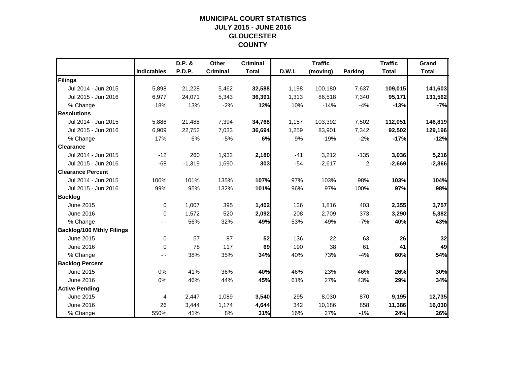## **MUNICIPAL COURT STATISTICSJULY 2015 - JUNE 2016 GLOUCESTER COUNTY**

|                                  |                    | D.P. &   | Other           | <b>Criminal</b> |        | <b>Traffic</b> |                | <b>Traffic</b> | Grand        |
|----------------------------------|--------------------|----------|-----------------|-----------------|--------|----------------|----------------|----------------|--------------|
|                                  | <b>Indictables</b> | P.D.P.   | <b>Criminal</b> | <b>Total</b>    | D.W.I. | (moving)       | Parking        | <b>Total</b>   | <b>Total</b> |
| Filings                          |                    |          |                 |                 |        |                |                |                |              |
| Jul 2014 - Jun 2015              | 5,898              | 21,228   | 5,462           | 32,588          | 1,198  | 100,180        | 7,637          | 109,015        | 141,603      |
| Jul 2015 - Jun 2016              | 6,977              | 24,071   | 5,343           | 36,391          | 1,313  | 86,518         | 7,340          | 95,171         | 131,562      |
| % Change                         | 18%                | 13%      | $-2%$           | 12%             | 10%    | $-14%$         | $-4%$          | $-13%$         | $-7%$        |
| <b>Resolutions</b>               |                    |          |                 |                 |        |                |                |                |              |
| Jul 2014 - Jun 2015              | 5,886              | 21,488   | 7,394           | 34,768          | 1,157  | 103,392        | 7,502          | 112,051        | 146,819      |
| Jul 2015 - Jun 2016              | 6,909              | 22,752   | 7,033           | 36,694          | 1,259  | 83,901         | 7,342          | 92,502         | 129,196      |
| % Change                         | 17%                | 6%       | $-5%$           | 6%              | 9%     | $-19%$         | $-2%$          | $-17%$         | $-12%$       |
| <b>Clearance</b>                 |                    |          |                 |                 |        |                |                |                |              |
| Jul 2014 - Jun 2015              | $-12$              | 260      | 1,932           | 2,180           | $-41$  | 3,212          | $-135$         | 3,036          | 5,216        |
| Jul 2015 - Jun 2016              | $-68$              | $-1,319$ | 1,690           | 303             | $-54$  | $-2,617$       | $\overline{c}$ | $-2,669$       | $-2,366$     |
| <b>Clearance Percent</b>         |                    |          |                 |                 |        |                |                |                |              |
| Jul 2014 - Jun 2015              | 100%               | 101%     | 135%            | 107%            | 97%    | 103%           | 98%            | 103%           | 104%         |
| Jul 2015 - Jun 2016              | 99%                | 95%      | 132%            | 101%            | 96%    | 97%            | 100%           | 97%            | 98%          |
| <b>Backlog</b>                   |                    |          |                 |                 |        |                |                |                |              |
| June 2015                        | 0                  | 1,007    | 395             | 1,402           | 136    | 1,816          | 403            | 2,355          | 3,757        |
| June 2016                        | $\Omega$           | 1,572    | 520             | 2,092           | 208    | 2,709          | 373            | 3,290          | 5,382        |
| % Change                         |                    | 56%      | 32%             | 49%             | 53%    | 49%            | $-7%$          | 40%            | 43%          |
| <b>Backlog/100 Mthly Filings</b> |                    |          |                 |                 |        |                |                |                |              |
| June 2015                        | 0                  | 57       | 87              | 52              | 136    | 22             | 63             | 26             | 32           |
| June 2016                        | $\Omega$           | 78       | 117             | 69              | 190    | 38             | 61             | 41             | 49           |
| % Change                         | - -                | 38%      | 35%             | 34%             | 40%    | 73%            | $-4%$          | 60%            | 54%          |
| <b>Backlog Percent</b>           |                    |          |                 |                 |        |                |                |                |              |
| June 2015                        | 0%                 | 41%      | 36%             | 40%             | 46%    | 23%            | 46%            | 26%            | 30%          |
| June 2016                        | 0%                 | 46%      | 44%             | 45%             | 61%    | 27%            | 43%            | 29%            | 34%          |
| <b>Active Pending</b>            |                    |          |                 |                 |        |                |                |                |              |
| June 2015                        | 4                  | 2,447    | 1,089           | 3,540           | 295    | 8,030          | 870            | 9,195          | 12,735       |
| June 2016                        | 26                 | 3,444    | 1,174           | 4,644           | 342    | 10,186         | 858            | 11,386         | 16,030       |
| % Change                         | 550%               | 41%      | 8%              | 31%             | 16%    | 27%            | $-1%$          | 24%            | 26%          |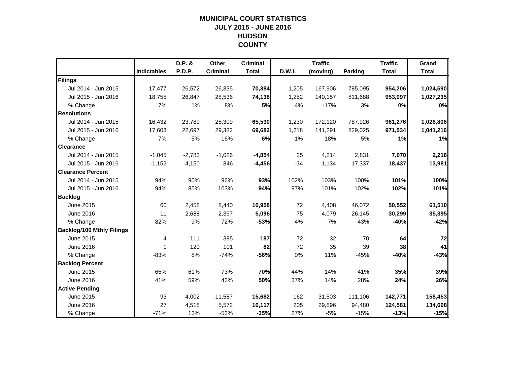## **MUNICIPAL COURT STATISTICSJULY 2015 - JUNE 2016 HUDSON COUNTY**

|                                  |                    | D.P. &        | Other           | <b>Criminal</b> |        | <b>Traffic</b> |                | <b>Traffic</b> | Grand        |
|----------------------------------|--------------------|---------------|-----------------|-----------------|--------|----------------|----------------|----------------|--------------|
|                                  | <b>Indictables</b> | <b>P.D.P.</b> | <b>Criminal</b> | <b>Total</b>    | D.W.I. | (moving)       | <b>Parking</b> | <b>Total</b>   | <b>Total</b> |
| Filings                          |                    |               |                 |                 |        |                |                |                |              |
| Jul 2014 - Jun 2015              | 17,477             | 26,572        | 26,335          | 70,384          | 1,205  | 167,906        | 785,095        | 954,206        | 1,024,590    |
| Jul 2015 - Jun 2016              | 18,755             | 26,847        | 28,536          | 74,138          | 1,252  | 140,157        | 811,688        | 953,097        | 1,027,235    |
| % Change                         | 7%                 | 1%            | 8%              | 5%              | 4%     | $-17%$         | 3%             | 0%             | 0%           |
| <b>Resolutions</b>               |                    |               |                 |                 |        |                |                |                |              |
| Jul 2014 - Jun 2015              | 16,432             | 23,789        | 25,309          | 65,530          | 1,230  | 172,120        | 787,926        | 961,276        | 1,026,806    |
| Jul 2015 - Jun 2016              | 17,603             | 22,697        | 29,382          | 69,682          | 1,218  | 141,291        | 829,025        | 971,534        | 1,041,216    |
| % Change                         | 7%                 | $-5%$         | 16%             | 6%              | $-1%$  | $-18%$         | 5%             | 1%             | 1%           |
| <b>Clearance</b>                 |                    |               |                 |                 |        |                |                |                |              |
| Jul 2014 - Jun 2015              | $-1.045$           | $-2,783$      | $-1,026$        | $-4,854$        | 25     | 4,214          | 2,831          | 7,070          | 2,216        |
| Jul 2015 - Jun 2016              | $-1,152$           | $-4,150$      | 846             | $-4,456$        | $-34$  | 1,134          | 17,337         | 18,437         | 13,981       |
| <b>Clearance Percent</b>         |                    |               |                 |                 |        |                |                |                |              |
| Jul 2014 - Jun 2015              | 94%                | 90%           | 96%             | 93%             | 102%   | 103%           | 100%           | 101%           | 100%         |
| Jul 2015 - Jun 2016              | 94%                | 85%           | 103%            | 94%             | 97%    | 101%           | 102%           | 102%           | 101%         |
| <b>Backlog</b>                   |                    |               |                 |                 |        |                |                |                |              |
| June 2015                        | 60                 | 2,458         | 8,440           | 10,958          | 72     | 4,408          | 46,072         | 50,552         | 61,510       |
| June 2016                        | 11                 | 2,688         | 2,397           | 5,096           | 75     | 4,079          | 26,145         | 30,299         | 35,395       |
| % Change                         | $-82%$             | 9%            | $-72%$          | $-53%$          | 4%     | $-7%$          | $-43%$         | $-40%$         | $-42%$       |
| <b>Backlog/100 Mthly Filings</b> |                    |               |                 |                 |        |                |                |                |              |
| June 2015                        | 4                  | 111           | 385             | 187             | 72     | 32             | 70             | 64             | 72           |
| June 2016                        | 1                  | 120           | 101             | 82              | 72     | 35             | 39             | 38             | 41           |
| % Change                         | $-83%$             | 8%            | $-74%$          | $-56%$          | 0%     | 11%            | $-45%$         | $-40%$         | $-43%$       |
| <b>Backlog Percent</b>           |                    |               |                 |                 |        |                |                |                |              |
| June 2015                        | 65%                | 61%           | 73%             | 70%             | 44%    | 14%            | 41%            | 35%            | 39%          |
| June 2016                        | 41%                | 59%           | 43%             | 50%             | 37%    | 14%            | 28%            | 24%            | 26%          |
| <b>Active Pending</b>            |                    |               |                 |                 |        |                |                |                |              |
| June 2015                        | 93                 | 4,002         | 11,587          | 15,682          | 162    | 31,503         | 111,106        | 142,771        | 158,453      |
| June 2016                        | 27                 | 4,518         | 5,572           | 10,117          | 205    | 29,896         | 94,480         | 124,581        | 134,698      |
| % Change                         | $-71%$             | 13%           | $-52%$          | $-35%$          | 27%    | $-5%$          | $-15%$         | $-13%$         | $-15%$       |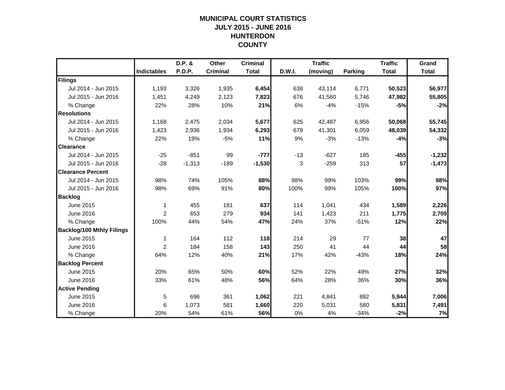## **MUNICIPAL COURT STATISTICSJULY 2015 - JUNE 2016 HUNTERDON COUNTY**

|                                  |                    | D.P. &   | Other           | <b>Criminal</b> |        | <b>Traffic</b> |                | <b>Traffic</b> | Grand        |
|----------------------------------|--------------------|----------|-----------------|-----------------|--------|----------------|----------------|----------------|--------------|
|                                  | <b>Indictables</b> | P.D.P.   | <b>Criminal</b> | <b>Total</b>    | D.W.I. | (moving)       | <b>Parking</b> | <b>Total</b>   | <b>Total</b> |
| Filings                          |                    |          |                 |                 |        |                |                |                |              |
| Jul 2014 - Jun 2015              | 1,193              | 3,326    | 1,935           | 6,454           | 638    | 43,114         | 6,771          | 50,523         | 56,977       |
| Jul 2015 - Jun 2016              | 1,451              | 4,249    | 2,123           | 7,823           | 676    | 41,560         | 5,746          | 47,982         | 55,805       |
| % Change                         | 22%                | 28%      | 10%             | 21%             | 6%     | $-4%$          | $-15%$         | $-5%$          | $-2%$        |
| <b>Resolutions</b>               |                    |          |                 |                 |        |                |                |                |              |
| Jul 2014 - Jun 2015              | 1,168              | 2,475    | 2,034           | 5,677           | 625    | 42,487         | 6,956          | 50,068         | 55,745       |
| Jul 2015 - Jun 2016              | 1,423              | 2,936    | 1,934           | 6,293           | 679    | 41,301         | 6,059          | 48,039         | 54,332       |
| % Change                         | 22%                | 19%      | $-5%$           | 11%             | 9%     | $-3%$          | $-13%$         | $-4%$          | $-3%$        |
| <b>Clearance</b>                 |                    |          |                 |                 |        |                |                |                |              |
| Jul 2014 - Jun 2015              | $-25$              | $-851$   | 99              | $-777$          | $-13$  | $-627$         | 185            | $-455$         | $-1,232$     |
| Jul 2015 - Jun 2016              | $-28$              | $-1,313$ | $-189$          | $-1,530$        | 3      | $-259$         | 313            | 57             | $-1,473$     |
| <b>Clearance Percent</b>         |                    |          |                 |                 |        |                |                |                |              |
| Jul 2014 - Jun 2015              | 98%                | 74%      | 105%            | 88%             | 98%    | 99%            | 103%           | 99%            | 98%          |
| Jul 2015 - Jun 2016              | 98%                | 69%      | 91%             | 80%             | 100%   | 99%            | 105%           | 100%           | 97%          |
| <b>Backlog</b>                   |                    |          |                 |                 |        |                |                |                |              |
| June 2015                        | 1                  | 455      | 181             | 637             | 114    | 1,041          | 434            | 1,589          | 2,226        |
| June 2016                        | 2                  | 653      | 279             | 934             | 141    | 1,423          | 211            | 1,775          | 2,709        |
| % Change                         | 100%               | 44%      | 54%             | 47%             | 24%    | 37%            | $-51%$         | 12%            | 22%          |
| <b>Backlog/100 Mthly Filings</b> |                    |          |                 |                 |        |                |                |                |              |
| June 2015                        | 1                  | 164      | 112             | 118             | 214    | 29             | 77             | 38             | 47           |
| June 2016                        | 2                  | 184      | 158             | 143             | 250    | 41             | 44             | 44             | 58           |
| % Change                         | 64%                | 12%      | 40%             | 21%             | 17%    | 42%            | $-43%$         | 18%            | 24%          |
| <b>Backlog Percent</b>           |                    |          |                 |                 |        |                |                |                |              |
| June 2015                        | 20%                | 65%      | 50%             | 60%             | 52%    | 22%            | 49%            | 27%            | 32%          |
| June 2016                        | 33%                | 61%      | 48%             | 56%             | 64%    | 28%            | 36%            | 30%            | 36%          |
| <b>Active Pending</b>            |                    |          |                 |                 |        |                |                |                |              |
| June 2015                        | 5                  | 696      | 361             | 1,062           | 221    | 4,841          | 882            | 5,944          | 7,006        |
| June 2016                        | 6                  | 1,073    | 581             | 1,660           | 220    | 5,031          | 580            | 5,831          | 7,491        |
| % Change                         | 20%                | 54%      | 61%             | 56%             | 0%     | 4%             | $-34%$         | $-2%$          | 7%           |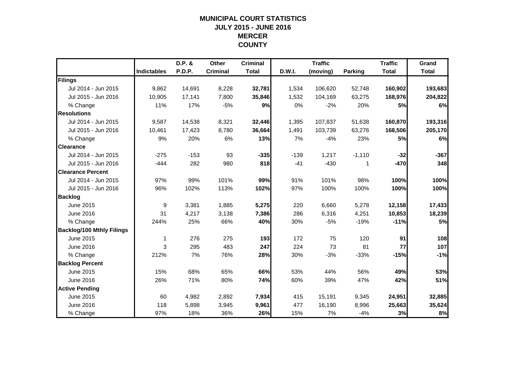## **MUNICIPAL COURT STATISTICSJULY 2015 - JUNE 2016 MERCER COUNTY**

|                                  |                    | D.P. &        | Other           | <b>Criminal</b> |        | <b>Traffic</b> |                | <b>Traffic</b> | Grand        |
|----------------------------------|--------------------|---------------|-----------------|-----------------|--------|----------------|----------------|----------------|--------------|
|                                  | <b>Indictables</b> | <b>P.D.P.</b> | <b>Criminal</b> | <b>Total</b>    | D.W.I. | (moving)       | <b>Parking</b> | <b>Total</b>   | <b>Total</b> |
| Filings                          |                    |               |                 |                 |        |                |                |                |              |
| Jul 2014 - Jun 2015              | 9,862              | 14,691        | 8,228           | 32,781          | 1,534  | 106,620        | 52,748         | 160,902        | 193,683      |
| Jul 2015 - Jun 2016              | 10.905             | 17,141        | 7,800           | 35,846          | 1,532  | 104,169        | 63,275         | 168,976        | 204,822      |
| % Change                         | 11%                | 17%           | $-5%$           | 9%              | 0%     | $-2%$          | 20%            | 5%             | 6%           |
| <b>Resolutions</b>               |                    |               |                 |                 |        |                |                |                |              |
| Jul 2014 - Jun 2015              | 9,587              | 14,538        | 8,321           | 32,446          | 1,395  | 107,837        | 51,638         | 160,870        | 193,316      |
| Jul 2015 - Jun 2016              | 10,461             | 17,423        | 8,780           | 36,664          | 1,491  | 103,739        | 63,276         | 168,506        | 205,170      |
| % Change                         | 9%                 | 20%           | 6%              | 13%             | 7%     | $-4%$          | 23%            | 5%             | 6%           |
| <b>Clearance</b>                 |                    |               |                 |                 |        |                |                |                |              |
| Jul 2014 - Jun 2015              | $-275$             | $-153$        | 93              | $-335$          | $-139$ | 1,217          | $-1,110$       | $-32$          | $-367$       |
| Jul 2015 - Jun 2016              | $-444$             | 282           | 980             | 818             | $-41$  | $-430$         | 1              | $-470$         | 348          |
| <b>Clearance Percent</b>         |                    |               |                 |                 |        |                |                |                |              |
| Jul 2014 - Jun 2015              | 97%                | 99%           | 101%            | 99%             | 91%    | 101%           | 98%            | 100%           | 100%         |
| Jul 2015 - Jun 2016              | 96%                | 102%          | 113%            | 102%            | 97%    | 100%           | 100%           | 100%           | 100%         |
| <b>Backlog</b>                   |                    |               |                 |                 |        |                |                |                |              |
| June 2015                        | 9                  | 3,381         | 1,885           | 5,275           | 220    | 6,660          | 5,278          | 12,158         | 17,433       |
| June 2016                        | 31                 | 4,217         | 3,138           | 7,386           | 286    | 6,316          | 4,251          | 10,853         | 18,239       |
| % Change                         | 244%               | 25%           | 66%             | 40%             | 30%    | $-5%$          | $-19%$         | $-11%$         | 5%           |
| <b>Backlog/100 Mthly Filings</b> |                    |               |                 |                 |        |                |                |                |              |
| June 2015                        | 1                  | 276           | 275             | 193             | 172    | 75             | 120            | 91             | 108          |
| June 2016                        | 3                  | 295           | 483             | 247             | 224    | 73             | 81             | 77             | 107          |
| % Change                         | 212%               | 7%            | 76%             | 28%             | 30%    | $-3%$          | $-33%$         | $-15%$         | $-1%$        |
| <b>Backlog Percent</b>           |                    |               |                 |                 |        |                |                |                |              |
| June 2015                        | 15%                | 68%           | 65%             | 66%             | 53%    | 44%            | 56%            | 49%            | 53%          |
| June 2016                        | 26%                | 71%           | 80%             | 74%             | 60%    | 39%            | 47%            | 42%            | 51%          |
| <b>Active Pending</b>            |                    |               |                 |                 |        |                |                |                |              |
| June 2015                        | 60                 | 4,982         | 2,892           | 7,934           | 415    | 15,191         | 9,345          | 24,951         | 32,885       |
| June 2016                        | 118                | 5,898         | 3,945           | 9,961           | 477    | 16,190         | 8,996          | 25,663         | 35,624       |
| % Change                         | 97%                | 18%           | 36%             | 26%             | 15%    | 7%             | $-4%$          | 3%             | 8%           |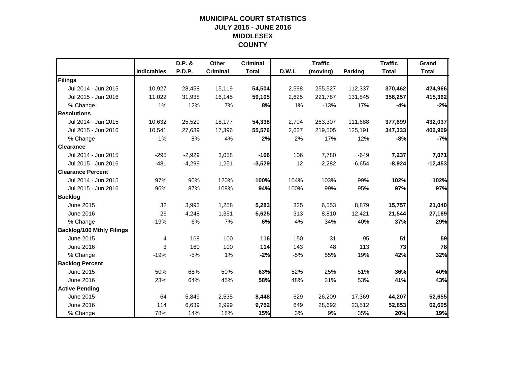## **MUNICIPAL COURT STATISTICSJULY 2015 - JUNE 2016 MIDDLESEX COUNTY**

|                                  |                    | D.P. &   | Other           | <b>Criminal</b> |        | <b>Traffic</b> |                | <b>Traffic</b> | Grand        |
|----------------------------------|--------------------|----------|-----------------|-----------------|--------|----------------|----------------|----------------|--------------|
|                                  | <b>Indictables</b> | P.D.P.   | <b>Criminal</b> | <b>Total</b>    | D.W.I. | (moving)       | <b>Parking</b> | <b>Total</b>   | <b>Total</b> |
| Filings                          |                    |          |                 |                 |        |                |                |                |              |
| Jul 2014 - Jun 2015              | 10,927             | 28,458   | 15,119          | 54,504          | 2,598  | 255,527        | 112,337        | 370,462        | 424,966      |
| Jul 2015 - Jun 2016              | 11,022             | 31,938   | 16,145          | 59,105          | 2,625  | 221,787        | 131,845        | 356,257        | 415,362      |
| % Change                         | 1%                 | 12%      | 7%              | 8%              | 1%     | $-13%$         | 17%            | $-4%$          | $-2%$        |
| <b>Resolutions</b>               |                    |          |                 |                 |        |                |                |                |              |
| Jul 2014 - Jun 2015              | 10,632             | 25,529   | 18,177          | 54,338          | 2,704  | 263,307        | 111,688        | 377,699        | 432,037      |
| Jul 2015 - Jun 2016              | 10,541             | 27,639   | 17,396          | 55,576          | 2,637  | 219,505        | 125,191        | 347,333        | 402,909      |
| % Change                         | $-1%$              | 8%       | $-4%$           | 2%              | $-2%$  | $-17%$         | 12%            | $-8%$          | $-7%$        |
| <b>Clearance</b>                 |                    |          |                 |                 |        |                |                |                |              |
| Jul 2014 - Jun 2015              | $-295$             | $-2,929$ | 3,058           | $-166$          | 106    | 7,780          | $-649$         | 7,237          | 7,071        |
| Jul 2015 - Jun 2016              | $-481$             | $-4,299$ | 1,251           | $-3,529$        | 12     | $-2,282$       | $-6,654$       | $-8,924$       | $-12,453$    |
| <b>Clearance Percent</b>         |                    |          |                 |                 |        |                |                |                |              |
| Jul 2014 - Jun 2015              | 97%                | 90%      | 120%            | 100%            | 104%   | 103%           | 99%            | 102%           | 102%         |
| Jul 2015 - Jun 2016              | 96%                | 87%      | 108%            | 94%             | 100%   | 99%            | 95%            | 97%            | 97%          |
| <b>Backlog</b>                   |                    |          |                 |                 |        |                |                |                |              |
| June 2015                        | 32                 | 3,993    | 1,258           | 5,283           | 325    | 6,553          | 8,879          | 15,757         | 21,040       |
| June 2016                        | 26                 | 4,248    | 1,351           | 5,625           | 313    | 8,810          | 12,421         | 21,544         | 27,169       |
| % Change                         | $-19%$             | 6%       | 7%              | 6%              | $-4%$  | 34%            | 40%            | 37%            | 29%          |
| <b>Backlog/100 Mthly Filings</b> |                    |          |                 |                 |        |                |                |                |              |
| June 2015                        | 4                  | 168      | 100             | 116             | 150    | 31             | 95             | 51             | 59           |
| June 2016                        | 3                  | 160      | 100             | 114             | 143    | 48             | 113            | 73             | 78           |
| % Change                         | $-19%$             | $-5%$    | 1%              | $-2%$           | $-5%$  | 55%            | 19%            | 42%            | 32%          |
| <b>Backlog Percent</b>           |                    |          |                 |                 |        |                |                |                |              |
| June 2015                        | 50%                | 68%      | 50%             | 63%             | 52%    | 25%            | 51%            | 36%            | 40%          |
| June 2016                        | 23%                | 64%      | 45%             | 58%             | 48%    | 31%            | 53%            | 41%            | 43%          |
| <b>Active Pending</b>            |                    |          |                 |                 |        |                |                |                |              |
| June 2015                        | 64                 | 5,849    | 2,535           | 8,448           | 629    | 26,209         | 17,369         | 44,207         | 52,655       |
| June 2016                        | 114                | 6,639    | 2,999           | 9,752           | 649    | 28,692         | 23,512         | 52,853         | 62,605       |
| % Change                         | 78%                | 14%      | 18%             | 15%             | 3%     | 9%             | 35%            | 20%            | 19%          |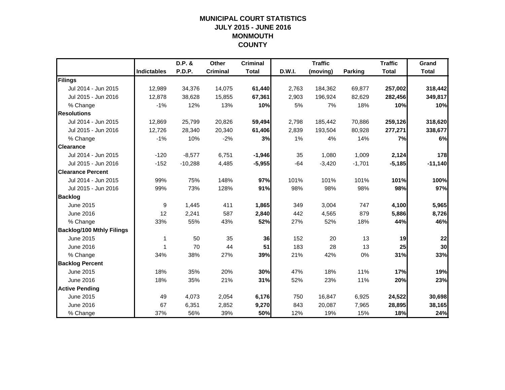## **MUNICIPAL COURT STATISTICSJULY 2015 - JUNE 2016 MONMOUTH COUNTY**

|                                  |                    | D.P. &    | Other           | <b>Criminal</b> |        | <b>Traffic</b> |                | <b>Traffic</b> | Grand        |
|----------------------------------|--------------------|-----------|-----------------|-----------------|--------|----------------|----------------|----------------|--------------|
|                                  | <b>Indictables</b> | P.D.P.    | <b>Criminal</b> | <b>Total</b>    | D.W.I. | (moving)       | <b>Parking</b> | <b>Total</b>   | <b>Total</b> |
| Filings                          |                    |           |                 |                 |        |                |                |                |              |
| Jul 2014 - Jun 2015              | 12,989             | 34,376    | 14,075          | 61,440          | 2,763  | 184,362        | 69,877         | 257,002        | 318,442      |
| Jul 2015 - Jun 2016              | 12.878             | 38,628    | 15,855          | 67,361          | 2,903  | 196.924        | 82,629         | 282,456        | 349,817      |
| % Change                         | $-1%$              | 12%       | 13%             | 10%             | 5%     | 7%             | 18%            | 10%            | 10%          |
| <b>Resolutions</b>               |                    |           |                 |                 |        |                |                |                |              |
| Jul 2014 - Jun 2015              | 12,869             | 25,799    | 20,826          | 59,494          | 2,798  | 185,442        | 70,886         | 259,126        | 318,620      |
| Jul 2015 - Jun 2016              | 12,726             | 28,340    | 20,340          | 61,406          | 2,839  | 193,504        | 80,928         | 277,271        | 338,677      |
| % Change                         | $-1%$              | 10%       | $-2%$           | 3%              | 1%     | 4%             | 14%            | 7%             | 6%           |
| <b>Clearance</b>                 |                    |           |                 |                 |        |                |                |                |              |
| Jul 2014 - Jun 2015              | $-120$             | $-8,577$  | 6,751           | $-1,946$        | 35     | 1,080          | 1,009          | 2,124          | 178          |
| Jul 2015 - Jun 2016              | $-152$             | $-10,288$ | 4,485           | $-5,955$        | $-64$  | $-3,420$       | $-1,701$       | $-5,185$       | $-11,140$    |
| <b>Clearance Percent</b>         |                    |           |                 |                 |        |                |                |                |              |
| Jul 2014 - Jun 2015              | 99%                | 75%       | 148%            | 97%             | 101%   | 101%           | 101%           | 101%           | 100%         |
| Jul 2015 - Jun 2016              | 99%                | 73%       | 128%            | 91%             | 98%    | 98%            | 98%            | 98%            | 97%          |
| <b>Backlog</b>                   |                    |           |                 |                 |        |                |                |                |              |
| June 2015                        | 9                  | 1,445     | 411             | 1,865           | 349    | 3,004          | 747            | 4,100          | 5,965        |
| June 2016                        | 12                 | 2,241     | 587             | 2,840           | 442    | 4,565          | 879            | 5,886          | 8,726        |
| % Change                         | 33%                | 55%       | 43%             | 52%             | 27%    | 52%            | 18%            | 44%            | 46%          |
| <b>Backlog/100 Mthly Filings</b> |                    |           |                 |                 |        |                |                |                |              |
| June 2015                        | 1                  | 50        | 35              | 36              | 152    | 20             | 13             | 19             | 22           |
| June 2016                        | 1                  | 70        | 44              | 51              | 183    | 28             | 13             | 25             | 30           |
| % Change                         | 34%                | 38%       | 27%             | 39%             | 21%    | 42%            | 0%             | 31%            | 33%          |
| <b>Backlog Percent</b>           |                    |           |                 |                 |        |                |                |                |              |
| June 2015                        | 18%                | 35%       | 20%             | 30%             | 47%    | 18%            | 11%            | 17%            | 19%          |
| June 2016                        | 18%                | 35%       | 21%             | 31%             | 52%    | 23%            | 11%            | 20%            | 23%          |
| <b>Active Pending</b>            |                    |           |                 |                 |        |                |                |                |              |
| June 2015                        | 49                 | 4,073     | 2,054           | 6,176           | 750    | 16,847         | 6,925          | 24,522         | 30,698       |
| June 2016                        | 67                 | 6,351     | 2,852           | 9,270           | 843    | 20,087         | 7,965          | 28,895         | 38,165       |
| % Change                         | 37%                | 56%       | 39%             | 50%             | 12%    | 19%            | 15%            | 18%            | 24%          |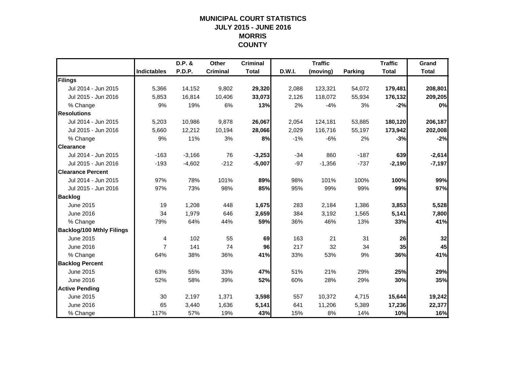## **MUNICIPAL COURT STATISTICSJULY 2015 - JUNE 2016 MORRIS COUNTY**

|                                  |                    | D.P. &        | Other           | <b>Criminal</b> |        | <b>Traffic</b> |                | <b>Traffic</b> | Grand        |
|----------------------------------|--------------------|---------------|-----------------|-----------------|--------|----------------|----------------|----------------|--------------|
|                                  | <b>Indictables</b> | <b>P.D.P.</b> | <b>Criminal</b> | <b>Total</b>    | D.W.I. | (moving)       | <b>Parking</b> | <b>Total</b>   | <b>Total</b> |
| Filings                          |                    |               |                 |                 |        |                |                |                |              |
| Jul 2014 - Jun 2015              | 5,366              | 14,152        | 9,802           | 29,320          | 2,088  | 123,321        | 54,072         | 179,481        | 208,801      |
| Jul 2015 - Jun 2016              | 5,853              | 16,814        | 10,406          | 33,073          | 2,126  | 118,072        | 55,934         | 176,132        | 209,205      |
| % Change                         | 9%                 | 19%           | 6%              | 13%             | 2%     | $-4%$          | 3%             | $-2%$          | 0%           |
| <b>Resolutions</b>               |                    |               |                 |                 |        |                |                |                |              |
| Jul 2014 - Jun 2015              | 5,203              | 10,986        | 9,878           | 26,067          | 2,054  | 124,181        | 53,885         | 180,120        | 206,187      |
| Jul 2015 - Jun 2016              | 5,660              | 12,212        | 10,194          | 28,066          | 2,029  | 116,716        | 55,197         | 173,942        | 202,008      |
| % Change                         | 9%                 | 11%           | 3%              | 8%              | $-1%$  | $-6%$          | 2%             | $-3%$          | $-2%$        |
| <b>Clearance</b>                 |                    |               |                 |                 |        |                |                |                |              |
| Jul 2014 - Jun 2015              | $-163$             | $-3,166$      | 76              | $-3,253$        | $-34$  | 860            | $-187$         | 639            | $-2,614$     |
| Jul 2015 - Jun 2016              | $-193$             | $-4,602$      | $-212$          | $-5,007$        | $-97$  | $-1,356$       | $-737$         | $-2,190$       | $-7,197$     |
| <b>Clearance Percent</b>         |                    |               |                 |                 |        |                |                |                |              |
| Jul 2014 - Jun 2015              | 97%                | 78%           | 101%            | 89%             | 98%    | 101%           | 100%           | 100%           | 99%          |
| Jul 2015 - Jun 2016              | 97%                | 73%           | 98%             | 85%             | 95%    | 99%            | 99%            | 99%            | 97%          |
| <b>Backlog</b>                   |                    |               |                 |                 |        |                |                |                |              |
| June 2015                        | 19                 | 1,208         | 448             | 1,675           | 283    | 2,184          | 1,386          | 3,853          | 5,528        |
| June 2016                        | 34                 | 1,979         | 646             | 2,659           | 384    | 3,192          | 1,565          | 5,141          | 7,800        |
| % Change                         | 79%                | 64%           | 44%             | 59%             | 36%    | 46%            | 13%            | 33%            | 41%          |
| <b>Backlog/100 Mthly Filings</b> |                    |               |                 |                 |        |                |                |                |              |
| June 2015                        | 4                  | 102           | 55              | 69              | 163    | 21             | 31             | 26             | 32           |
| <b>June 2016</b>                 | $\overline{7}$     | 141           | 74              | 96              | 217    | 32             | 34             | 35             | 45           |
| % Change                         | 64%                | 38%           | 36%             | 41%             | 33%    | 53%            | 9%             | 36%            | 41%          |
| <b>Backlog Percent</b>           |                    |               |                 |                 |        |                |                |                |              |
| June 2015                        | 63%                | 55%           | 33%             | 47%             | 51%    | 21%            | 29%            | 25%            | 29%          |
| <b>June 2016</b>                 | 52%                | 58%           | 39%             | 52%             | 60%    | 28%            | 29%            | 30%            | 35%          |
| <b>Active Pending</b>            |                    |               |                 |                 |        |                |                |                |              |
| June 2015                        | 30                 | 2,197         | 1,371           | 3,598           | 557    | 10,372         | 4,715          | 15,644         | 19,242       |
| June 2016                        | 65                 | 3,440         | 1,636           | 5,141           | 641    | 11,206         | 5,389          | 17,236         | 22,377       |
| % Change                         | 117%               | 57%           | 19%             | 43%             | 15%    | 8%             | 14%            | 10%            | 16%          |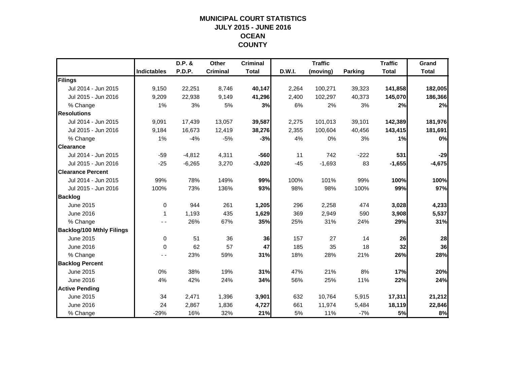## **MUNICIPAL COURT STATISTICSJULY 2015 - JUNE 2016 OCEAN COUNTY**

|                                  |                    | D.P. &        | Other           | <b>Criminal</b> |        | <b>Traffic</b> |         | <b>Traffic</b> | Grand        |
|----------------------------------|--------------------|---------------|-----------------|-----------------|--------|----------------|---------|----------------|--------------|
|                                  | <b>Indictables</b> | <b>P.D.P.</b> | <b>Criminal</b> | <b>Total</b>    | D.W.I. | (moving)       | Parking | <b>Total</b>   | <b>Total</b> |
| Filings                          |                    |               |                 |                 |        |                |         |                |              |
| Jul 2014 - Jun 2015              | 9,150              | 22,251        | 8,746           | 40,147          | 2,264  | 100,271        | 39,323  | 141,858        | 182,005      |
| Jul 2015 - Jun 2016              | 9,209              | 22,938        | 9,149           | 41,296          | 2,400  | 102,297        | 40,373  | 145,070        | 186,366      |
| % Change                         | 1%                 | 3%            | 5%              | 3%              | 6%     | 2%             | 3%      | 2%             | 2%           |
| <b>Resolutions</b>               |                    |               |                 |                 |        |                |         |                |              |
| Jul 2014 - Jun 2015              | 9,091              | 17,439        | 13,057          | 39,587          | 2,275  | 101,013        | 39,101  | 142,389        | 181,976      |
| Jul 2015 - Jun 2016              | 9,184              | 16,673        | 12,419          | 38,276          | 2,355  | 100,604        | 40,456  | 143,415        | 181,691      |
| % Change                         | 1%                 | $-4%$         | $-5%$           | $-3%$           | 4%     | 0%             | 3%      | 1%             | 0%           |
| <b>Clearance</b>                 |                    |               |                 |                 |        |                |         |                |              |
| Jul 2014 - Jun 2015              | $-59$              | $-4,812$      | 4,311           | $-560$          | 11     | 742            | $-222$  | 531            | $-29$        |
| Jul 2015 - Jun 2016              | $-25$              | $-6,265$      | 3,270           | $-3,020$        | $-45$  | $-1,693$       | 83      | $-1,655$       | $-4,675$     |
| <b>Clearance Percent</b>         |                    |               |                 |                 |        |                |         |                |              |
| Jul 2014 - Jun 2015              | 99%                | 78%           | 149%            | 99%             | 100%   | 101%           | 99%     | 100%           | 100%         |
| Jul 2015 - Jun 2016              | 100%               | 73%           | 136%            | 93%             | 98%    | 98%            | 100%    | 99%            | 97%          |
| <b>Backlog</b>                   |                    |               |                 |                 |        |                |         |                |              |
| June 2015                        | $\mathbf 0$        | 944           | 261             | 1,205           | 296    | 2,258          | 474     | 3,028          | 4,233        |
| June 2016                        | 1                  | 1,193         | 435             | 1,629           | 369    | 2,949          | 590     | 3,908          | 5,537        |
| % Change                         |                    | 26%           | 67%             | 35%             | 25%    | 31%            | 24%     | 29%            | 31%          |
| <b>Backlog/100 Mthly Filings</b> |                    |               |                 |                 |        |                |         |                |              |
| June 2015                        | $\mathbf 0$        | 51            | 36              | 36              | 157    | 27             | 14      | 26             | 28           |
| June 2016                        | $\Omega$           | 62            | 57              | 47              | 185    | 35             | 18      | 32             | 36           |
| % Change                         | - -                | 23%           | 59%             | 31%             | 18%    | 28%            | 21%     | 26%            | 28%          |
| <b>Backlog Percent</b>           |                    |               |                 |                 |        |                |         |                |              |
| June 2015                        | 0%                 | 38%           | 19%             | 31%             | 47%    | 21%            | 8%      | 17%            | 20%          |
| <b>June 2016</b>                 | 4%                 | 42%           | 24%             | 34%             | 56%    | 25%            | 11%     | 22%            | 24%          |
| <b>Active Pending</b>            |                    |               |                 |                 |        |                |         |                |              |
| June 2015                        | 34                 | 2,471         | 1,396           | 3,901           | 632    | 10,764         | 5,915   | 17,311         | 21,212       |
| June 2016                        | 24                 | 2,867         | 1,836           | 4,727           | 661    | 11,974         | 5,484   | 18,119         | 22,846       |
| % Change                         | $-29%$             | 16%           | 32%             | 21%             | 5%     | 11%            | $-7%$   | 5%             | 8%           |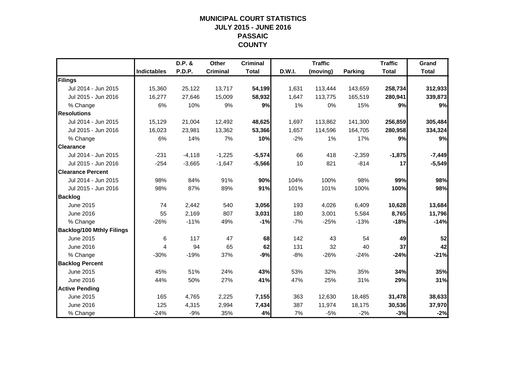## **MUNICIPAL COURT STATISTICSJULY 2015 - JUNE 2016 PASSAIC COUNTY**

|                                  |                    | D.P. &        | Other           | <b>Criminal</b> |        | <b>Traffic</b> |                | <b>Traffic</b> | Grand        |
|----------------------------------|--------------------|---------------|-----------------|-----------------|--------|----------------|----------------|----------------|--------------|
|                                  | <b>Indictables</b> | <b>P.D.P.</b> | <b>Criminal</b> | <b>Total</b>    | D.W.I. | (moving)       | <b>Parking</b> | <b>Total</b>   | <b>Total</b> |
| Filings                          |                    |               |                 |                 |        |                |                |                |              |
| Jul 2014 - Jun 2015              | 15,360             | 25,122        | 13,717          | 54,199          | 1,631  | 113,444        | 143,659        | 258,734        | 312,933      |
| Jul 2015 - Jun 2016              | 16,277             | 27.646        | 15,009          | 58,932          | 1,647  | 113,775        | 165,519        | 280,941        | 339,873      |
| % Change                         | 6%                 | 10%           | 9%              | 9%              | 1%     | 0%             | 15%            | 9%             | 9%           |
| <b>Resolutions</b>               |                    |               |                 |                 |        |                |                |                |              |
| Jul 2014 - Jun 2015              | 15,129             | 21,004        | 12,492          | 48,625          | 1,697  | 113,862        | 141,300        | 256,859        | 305,484      |
| Jul 2015 - Jun 2016              | 16,023             | 23,981        | 13,362          | 53,366          | 1,657  | 114,596        | 164,705        | 280,958        | 334,324      |
| % Change                         | 6%                 | 14%           | 7%              | 10%             | $-2%$  | $1\%$          | 17%            | 9%             | 9%           |
| <b>Clearance</b>                 |                    |               |                 |                 |        |                |                |                |              |
| Jul 2014 - Jun 2015              | $-231$             | $-4,118$      | $-1,225$        | $-5,574$        | 66     | 418            | $-2,359$       | $-1,875$       | $-7,449$     |
| Jul 2015 - Jun 2016              | $-254$             | $-3,665$      | $-1,647$        | $-5,566$        | 10     | 821            | $-814$         | 17             | $-5,549$     |
| <b>Clearance Percent</b>         |                    |               |                 |                 |        |                |                |                |              |
| Jul 2014 - Jun 2015              | 98%                | 84%           | 91%             | 90%             | 104%   | 100%           | 98%            | 99%            | 98%          |
| Jul 2015 - Jun 2016              | 98%                | 87%           | 89%             | 91%             | 101%   | 101%           | 100%           | 100%           | 98%          |
| <b>Backlog</b>                   |                    |               |                 |                 |        |                |                |                |              |
| June 2015                        | 74                 | 2,442         | 540             | 3,056           | 193    | 4,026          | 6,409          | 10,628         | 13,684       |
| June 2016                        | 55                 | 2,169         | 807             | 3,031           | 180    | 3,001          | 5,584          | 8,765          | 11,796       |
| % Change                         | $-26%$             | $-11%$        | 49%             | $-1%$           | $-7%$  | $-25%$         | $-13%$         | $-18%$         | $-14%$       |
| <b>Backlog/100 Mthly Filings</b> |                    |               |                 |                 |        |                |                |                |              |
| June 2015                        | 6                  | 117           | 47              | 68              | 142    | 43             | 54             | 49             | 52           |
| <b>June 2016</b>                 | 4                  | 94            | 65              | 62              | 131    | 32             | 40             | 37             | 42           |
| % Change                         | $-30%$             | $-19%$        | 37%             | $-9%$           | $-8%$  | $-26%$         | $-24%$         | $-24%$         | $-21%$       |
| <b>Backlog Percent</b>           |                    |               |                 |                 |        |                |                |                |              |
| June 2015                        | 45%                | 51%           | 24%             | 43%             | 53%    | 32%            | 35%            | 34%            | 35%          |
| <b>June 2016</b>                 | 44%                | 50%           | 27%             | 41%             | 47%    | 25%            | 31%            | 29%            | 31%          |
| <b>Active Pending</b>            |                    |               |                 |                 |        |                |                |                |              |
| June 2015                        | 165                | 4,765         | 2,225           | 7,155           | 363    | 12,630         | 18,485         | 31,478         | 38,633       |
| June 2016                        | 125                | 4,315         | 2,994           | 7,434           | 387    | 11,974         | 18,175         | 30,536         | 37,970       |
| % Change                         | $-24%$             | $-9%$         | 35%             | 4%              | 7%     | $-5%$          | $-2%$          | $-3%$          | $-2%$        |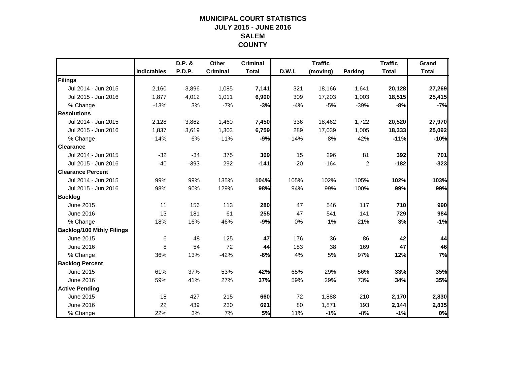## **MUNICIPAL COURT STATISTICSJULY 2015 - JUNE 2016 SALEMCOUNTY**

|                                  |                    | D.P. & | Other           | <b>Criminal</b> |        | <b>Traffic</b> |                | <b>Traffic</b> | Grand        |
|----------------------------------|--------------------|--------|-----------------|-----------------|--------|----------------|----------------|----------------|--------------|
|                                  | <b>Indictables</b> | P.D.P. | <b>Criminal</b> | <b>Total</b>    | D.W.I. | (moving)       | <b>Parking</b> | <b>Total</b>   | <b>Total</b> |
| Filings                          |                    |        |                 |                 |        |                |                |                |              |
| Jul 2014 - Jun 2015              | 2,160              | 3,896  | 1,085           | 7,141           | 321    | 18,166         | 1,641          | 20,128         | 27,269       |
| Jul 2015 - Jun 2016              | 1.877              | 4,012  | 1,011           | 6,900           | 309    | 17,203         | 1,003          | 18,515         | 25,415       |
| % Change                         | $-13%$             | 3%     | $-7%$           | $-3%$           | $-4%$  | $-5%$          | $-39%$         | $-8%$          | $-7%$        |
| <b>Resolutions</b>               |                    |        |                 |                 |        |                |                |                |              |
| Jul 2014 - Jun 2015              | 2,128              | 3,862  | 1,460           | 7,450           | 336    | 18,462         | 1,722          | 20,520         | 27,970       |
| Jul 2015 - Jun 2016              | 1,837              | 3,619  | 1,303           | 6,759           | 289    | 17,039         | 1,005          | 18,333         | 25,092       |
| % Change                         | $-14%$             | $-6%$  | $-11%$          | $-9%$           | $-14%$ | $-8%$          | $-42%$         | $-11%$         | $-10%$       |
| <b>Clearance</b>                 |                    |        |                 |                 |        |                |                |                |              |
| Jul 2014 - Jun 2015              | $-32$              | $-34$  | 375             | 309             | 15     | 296            | 81             | 392            | 701          |
| Jul 2015 - Jun 2016              | $-40$              | $-393$ | 292             | $-141$          | $-20$  | $-164$         | $\overline{c}$ | $-182$         | $-323$       |
| <b>Clearance Percent</b>         |                    |        |                 |                 |        |                |                |                |              |
| Jul 2014 - Jun 2015              | 99%                | 99%    | 135%            | 104%            | 105%   | 102%           | 105%           | 102%           | 103%         |
| Jul 2015 - Jun 2016              | 98%                | 90%    | 129%            | 98%             | 94%    | 99%            | 100%           | 99%            | 99%          |
| <b>Backlog</b>                   |                    |        |                 |                 |        |                |                |                |              |
| June 2015                        | 11                 | 156    | 113             | 280             | 47     | 546            | 117            | 710            | 990          |
| <b>June 2016</b>                 | 13                 | 181    | 61              | 255             | 47     | 541            | 141            | 729            | 984          |
| % Change                         | 18%                | 16%    | $-46%$          | $-9%$           | 0%     | $-1%$          | 21%            | 3%             | $-1%$        |
| <b>Backlog/100 Mthly Filings</b> |                    |        |                 |                 |        |                |                |                |              |
| June 2015                        | 6                  | 48     | 125             | 47              | 176    | 36             | 86             | 42             | 44           |
| June 2016                        | 8                  | 54     | 72              | 44              | 183    | 38             | 169            | 47             | 46           |
| % Change                         | 36%                | 13%    | $-42%$          | $-6%$           | 4%     | 5%             | 97%            | 12%            | 7%           |
| <b>Backlog Percent</b>           |                    |        |                 |                 |        |                |                |                |              |
| June 2015                        | 61%                | 37%    | 53%             | 42%             | 65%    | 29%            | 56%            | 33%            | 35%          |
| June 2016                        | 59%                | 41%    | 27%             | 37%             | 59%    | 29%            | 73%            | 34%            | 35%          |
| <b>Active Pending</b>            |                    |        |                 |                 |        |                |                |                |              |
| June 2015                        | 18                 | 427    | 215             | 660             | 72     | 1,888          | 210            | 2,170          | 2,830        |
| June 2016                        | 22                 | 439    | 230             | 691             | 80     | 1,871          | 193            | 2,144          | 2,835        |
| % Change                         | 22%                | 3%     | 7%              | 5%              | 11%    | $-1%$          | $-8%$          | $-1%$          | 0%           |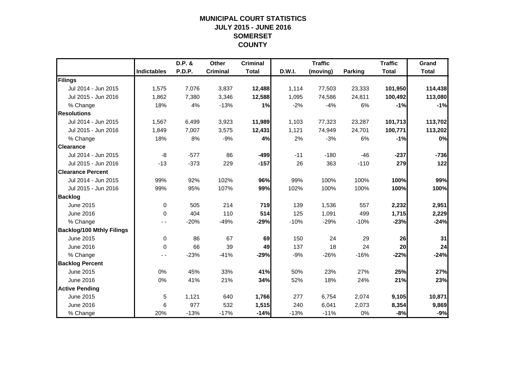## **MUNICIPAL COURT STATISTICSJULY 2015 - JUNE 2016 SOMERSET COUNTY**

|                                  |                    | D.P. & | Other           | <b>Criminal</b> |        | <b>Traffic</b> |         | <b>Traffic</b> | Grand        |
|----------------------------------|--------------------|--------|-----------------|-----------------|--------|----------------|---------|----------------|--------------|
|                                  | <b>Indictables</b> | P.D.P. | <b>Criminal</b> | <b>Total</b>    | D.W.I. | (moving)       | Parking | <b>Total</b>   | <b>Total</b> |
| Filings                          |                    |        |                 |                 |        |                |         |                |              |
| Jul 2014 - Jun 2015              | 1,575              | 7,076  | 3,837           | 12,488          | 1,114  | 77,503         | 23,333  | 101,950        | 114,438      |
| Jul 2015 - Jun 2016              | 1,862              | 7,380  | 3,346           | 12,588          | 1,095  | 74,586         | 24,811  | 100,492        | 113,080      |
| % Change                         | 18%                | 4%     | $-13%$          | 1%              | $-2%$  | $-4%$          | 6%      | $-1%$          | $-1%$        |
| <b>Resolutions</b>               |                    |        |                 |                 |        |                |         |                |              |
| Jul 2014 - Jun 2015              | 1,567              | 6,499  | 3,923           | 11,989          | 1,103  | 77,323         | 23,287  | 101,713        | 113,702      |
| Jul 2015 - Jun 2016              | 1,849              | 7,007  | 3,575           | 12,431          | 1,121  | 74,949         | 24,701  | 100,771        | 113,202      |
| % Change                         | 18%                | 8%     | $-9%$           | 4%              | 2%     | $-3%$          | 6%      | $-1%$          | 0%           |
| <b>Clearance</b>                 |                    |        |                 |                 |        |                |         |                |              |
| Jul 2014 - Jun 2015              | -8                 | $-577$ | 86              | $-499$          | $-11$  | $-180$         | $-46$   | $-237$         | $-736$       |
| Jul 2015 - Jun 2016              | $-13$              | $-373$ | 229             | $-157$          | 26     | 363            | $-110$  | 279            | 122          |
| <b>Clearance Percent</b>         |                    |        |                 |                 |        |                |         |                |              |
| Jul 2014 - Jun 2015              | 99%                | 92%    | 102%            | 96%             | 99%    | 100%           | 100%    | 100%           | 99%          |
| Jul 2015 - Jun 2016              | 99%                | 95%    | 107%            | 99%             | 102%   | 100%           | 100%    | 100%           | 100%         |
| <b>Backlog</b>                   |                    |        |                 |                 |        |                |         |                |              |
| June 2015                        | 0                  | 505    | 214             | 719             | 139    | 1,536          | 557     | 2,232          | 2,951        |
| June 2016                        | $\Omega$           | 404    | 110             | 514             | 125    | 1,091          | 499     | 1,715          | 2,229        |
| % Change                         |                    | $-20%$ | $-49%$          | $-29%$          | $-10%$ | $-29%$         | $-10%$  | $-23%$         | $-24%$       |
| <b>Backlog/100 Mthly Filings</b> |                    |        |                 |                 |        |                |         |                |              |
| June 2015                        | 0                  | 86     | 67              | 69              | 150    | 24             | 29      | 26             | 31           |
| <b>June 2016</b>                 | $\Omega$           | 66     | 39              | 49              | 137    | 18             | 24      | 20             | 24           |
| % Change                         | - -                | $-23%$ | $-41%$          | $-29%$          | $-9%$  | $-26%$         | $-16%$  | $-22%$         | $-24%$       |
| <b>Backlog Percent</b>           |                    |        |                 |                 |        |                |         |                |              |
| June 2015                        | 0%                 | 45%    | 33%             | 41%             | 50%    | 23%            | 27%     | 25%            | 27%          |
| June 2016                        | 0%                 | 41%    | 21%             | 34%             | 52%    | 18%            | 24%     | 21%            | 23%          |
| <b>Active Pending</b>            |                    |        |                 |                 |        |                |         |                |              |
| June 2015                        | 5                  | 1,121  | 640             | 1,766           | 277    | 6,754          | 2,074   | 9,105          | 10,871       |
| June 2016                        | 6                  | 977    | 532             | 1,515           | 240    | 6,041          | 2,073   | 8,354          | 9,869        |
| % Change                         | 20%                | $-13%$ | $-17%$          | $-14%$          | $-13%$ | $-11%$         | 0%      | $-8%$          | $-9%$        |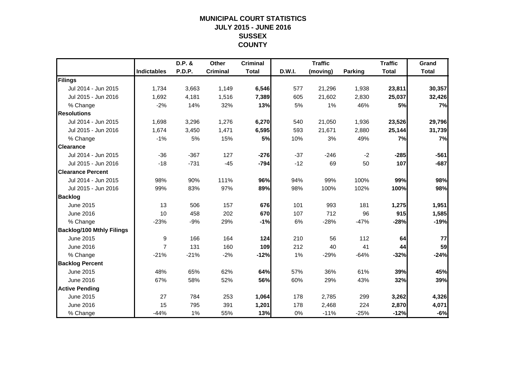## **MUNICIPAL COURT STATISTICSJULY 2015 - JUNE 2016 SUSSEX COUNTY**

|                                  |                    | D.P. & | Other           | <b>Criminal</b> |        | <b>Traffic</b> |                | <b>Traffic</b> | Grand        |
|----------------------------------|--------------------|--------|-----------------|-----------------|--------|----------------|----------------|----------------|--------------|
|                                  | <b>Indictables</b> | P.D.P. | <b>Criminal</b> | <b>Total</b>    | D.W.I. | (moving)       | <b>Parking</b> | <b>Total</b>   | <b>Total</b> |
| Filings                          |                    |        |                 |                 |        |                |                |                |              |
| Jul 2014 - Jun 2015              | 1,734              | 3,663  | 1,149           | 6,546           | 577    | 21,296         | 1,938          | 23,811         | 30,357       |
| Jul 2015 - Jun 2016              | 1,692              | 4,181  | 1,516           | 7,389           | 605    | 21,602         | 2,830          | 25,037         | 32,426       |
| % Change                         | $-2%$              | 14%    | 32%             | 13%             | 5%     | 1%             | 46%            | 5%             | 7%           |
| <b>Resolutions</b>               |                    |        |                 |                 |        |                |                |                |              |
| Jul 2014 - Jun 2015              | 1,698              | 3,296  | 1,276           | 6,270           | 540    | 21,050         | 1,936          | 23,526         | 29,796       |
| Jul 2015 - Jun 2016              | 1,674              | 3,450  | 1,471           | 6,595           | 593    | 21,671         | 2,880          | 25,144         | 31,739       |
| % Change                         | $-1%$              | 5%     | 15%             | 5%              | 10%    | 3%             | 49%            | 7%             | 7%           |
| <b>Clearance</b>                 |                    |        |                 |                 |        |                |                |                |              |
| Jul 2014 - Jun 2015              | $-36$              | $-367$ | 127             | $-276$          | $-37$  | $-246$         | $-2$           | $-285$         | $-561$       |
| Jul 2015 - Jun 2016              | $-18$              | $-731$ | $-45$           | $-794$          | $-12$  | 69             | 50             | 107            | $-687$       |
| <b>Clearance Percent</b>         |                    |        |                 |                 |        |                |                |                |              |
| Jul 2014 - Jun 2015              | 98%                | 90%    | 111%            | 96%             | 94%    | 99%            | 100%           | 99%            | 98%          |
| Jul 2015 - Jun 2016              | 99%                | 83%    | 97%             | 89%             | 98%    | 100%           | 102%           | 100%           | 98%          |
| <b>Backlog</b>                   |                    |        |                 |                 |        |                |                |                |              |
| June 2015                        | 13                 | 506    | 157             | 676             | 101    | 993            | 181            | 1,275          | 1,951        |
| <b>June 2016</b>                 | 10                 | 458    | 202             | 670             | 107    | 712            | 96             | 915            | 1,585        |
| % Change                         | $-23%$             | $-9%$  | 29%             | $-1%$           | 6%     | $-28%$         | $-47%$         | $-28%$         | $-19%$       |
| <b>Backlog/100 Mthly Filings</b> |                    |        |                 |                 |        |                |                |                |              |
| June 2015                        | 9                  | 166    | 164             | 124             | 210    | 56             | 112            | 64             | 77           |
| June 2016                        | $\overline{7}$     | 131    | 160             | 109             | 212    | 40             | 41             | 44             | 59           |
| % Change                         | $-21%$             | $-21%$ | $-2%$           | $-12%$          | 1%     | $-29%$         | $-64%$         | $-32%$         | $-24%$       |
| <b>Backlog Percent</b>           |                    |        |                 |                 |        |                |                |                |              |
| June 2015                        | 48%                | 65%    | 62%             | 64%             | 57%    | 36%            | 61%            | 39%            | 45%          |
| June 2016                        | 67%                | 58%    | 52%             | 56%             | 60%    | 29%            | 43%            | 32%            | 39%          |
| <b>Active Pending</b>            |                    |        |                 |                 |        |                |                |                |              |
| June 2015                        | 27                 | 784    | 253             | 1,064           | 178    | 2,785          | 299            | 3,262          | 4,326        |
| June 2016                        | 15                 | 795    | 391             | 1,201           | 178    | 2,468          | 224            | 2,870          | 4,071        |
| % Change                         | $-44%$             | 1%     | 55%             | 13%             | 0%     | $-11%$         | $-25%$         | $-12%$         | $-6%$        |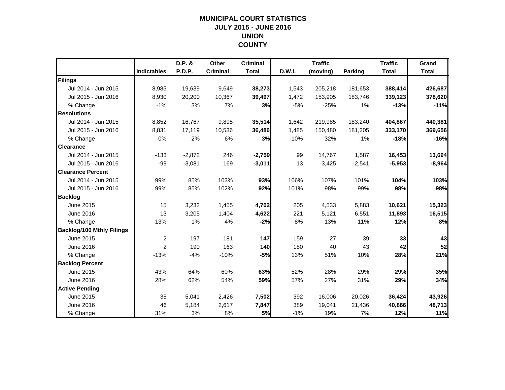## **MUNICIPAL COURT STATISTICSJULY 2015 - JUNE 2016 UNION COUNTY**

|                                  |                    | D.P. &        | Other           | <b>Criminal</b> |        | <b>Traffic</b> |                | <b>Traffic</b> | Grand        |
|----------------------------------|--------------------|---------------|-----------------|-----------------|--------|----------------|----------------|----------------|--------------|
|                                  | <b>Indictables</b> | <b>P.D.P.</b> | <b>Criminal</b> | <b>Total</b>    | D.W.I. | (moving)       | <b>Parking</b> | <b>Total</b>   | <b>Total</b> |
| Filings                          |                    |               |                 |                 |        |                |                |                |              |
| Jul 2014 - Jun 2015              | 8,985              | 19,639        | 9,649           | 38,273          | 1,543  | 205,218        | 181,653        | 388,414        | 426,687      |
| Jul 2015 - Jun 2016              | 8,930              | 20,200        | 10,367          | 39,497          | 1,472  | 153,905        | 183,746        | 339,123        | 378,620      |
| % Change                         | $-1%$              | 3%            | 7%              | 3%              | $-5%$  | $-25%$         | 1%             | $-13%$         | $-11%$       |
| <b>Resolutions</b>               |                    |               |                 |                 |        |                |                |                |              |
| Jul 2014 - Jun 2015              | 8,852              | 16,767        | 9,895           | 35,514          | 1,642  | 219,985        | 183,240        | 404,867        | 440,381      |
| Jul 2015 - Jun 2016              | 8,831              | 17,119        | 10,536          | 36,486          | 1,485  | 150,480        | 181,205        | 333,170        | 369,656      |
| % Change                         | 0%                 | 2%            | 6%              | 3%              | $-10%$ | $-32%$         | $-1%$          | $-18%$         | $-16%$       |
| <b>Clearance</b>                 |                    |               |                 |                 |        |                |                |                |              |
| Jul 2014 - Jun 2015              | $-133$             | $-2,872$      | 246             | $-2,759$        | 99     | 14,767         | 1,587          | 16,453         | 13,694       |
| Jul 2015 - Jun 2016              | $-99$              | $-3,081$      | 169             | $-3,011$        | 13     | $-3,425$       | $-2,541$       | $-5,953$       | $-8,964$     |
| <b>Clearance Percent</b>         |                    |               |                 |                 |        |                |                |                |              |
| Jul 2014 - Jun 2015              | 99%                | 85%           | 103%            | 93%             | 106%   | 107%           | 101%           | 104%           | 103%         |
| Jul 2015 - Jun 2016              | 99%                | 85%           | 102%            | 92%             | 101%   | 98%            | 99%            | 98%            | 98%          |
| <b>Backlog</b>                   |                    |               |                 |                 |        |                |                |                |              |
| June 2015                        | 15                 | 3,232         | 1,455           | 4,702           | 205    | 4,533          | 5,883          | 10,621         | 15,323       |
| June 2016                        | 13                 | 3,205         | 1,404           | 4,622           | 221    | 5,121          | 6,551          | 11,893         | 16,515       |
| % Change                         | $-13%$             | $-1%$         | $-4%$           | $-2%$           | 8%     | 13%            | 11%            | 12%            | 8%           |
| <b>Backlog/100 Mthly Filings</b> |                    |               |                 |                 |        |                |                |                |              |
| June 2015                        | $\overline{c}$     | 197           | 181             | 147             | 159    | 27             | 39             | 33             | 43           |
| June 2016                        | $\overline{2}$     | 190           | 163             | 140             | 180    | 40             | 43             | 42             | 52           |
| % Change                         | $-13%$             | $-4%$         | $-10%$          | $-5%$           | 13%    | 51%            | 10%            | 28%            | 21%          |
| <b>Backlog Percent</b>           |                    |               |                 |                 |        |                |                |                |              |
| June 2015                        | 43%                | 64%           | 60%             | 63%             | 52%    | 28%            | 29%            | 29%            | 35%          |
| June 2016                        | 28%                | 62%           | 54%             | 59%             | 57%    | 27%            | 31%            | 29%            | 34%          |
| <b>Active Pending</b>            |                    |               |                 |                 |        |                |                |                |              |
| June 2015                        | 35                 | 5,041         | 2,426           | 7,502           | 392    | 16,006         | 20,026         | 36,424         | 43,926       |
| June 2016                        | 46                 | 5,184         | 2,617           | 7,847           | 389    | 19,041         | 21,436         | 40,866         | 48,713       |
| % Change                         | 31%                | 3%            | 8%              | 5%              | $-1%$  | 19%            | 7%             | 12%            | 11%          |